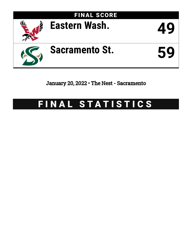

January 20, 2022 • The Nest - Sacramento

# FINAL STATISTICS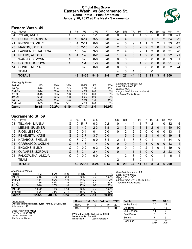### **Official Box Score Eastern Wash. vs Sacramento St. Game Totals -- Final Statistics January 20, 2022 at The Nest - Sacramento**



# **Eastern Wash. 49**

| No. | Plaver                  | S  | <b>Pts</b> | FG       | 3FG      | FT      | ΟR | DR | TR | PF | A        | TO       | Blk      | Stl      | Min        | $+/-$ |
|-----|-------------------------|----|------------|----------|----------|---------|----|----|----|----|----------|----------|----------|----------|------------|-------|
| 04  | ZYLAK, ANDIE            | G  | 5          | $2 - 3$  | 1-1      | $0-0$   | 0  | 4  | 4  |    | 2        | 5        | 0        | 0        | 30         | $-21$ |
| 10  | <b>BUCKLEY, JACINTA</b> | G  | 15         | 6-14     | $3-5$    | $0 - 0$ | 4  | 4  | 8  | 5  | 0        |          |          | 2        | 34         | -9    |
| 21  | <b>KNOWLES, MILLY</b>   | F  | 4          | $2 - 11$ | $0 - 0$  | $0-0$   | 4  | 5  | 9  |    |          | 2        | 2        |          | 33         | $-13$ |
| 23  | MARTIN, JAYDIA          | F. | 5          | $2 - 15$ | $1 - 5$  | $0 - 0$ | 2  | 3  | 5  | 2  | 2        | 2        | $\Omega$ |          | 24         | $-3$  |
| 24  | LAWRENCE, JALEESA       | F  | 13         | $5-9$    | $3 - 3$  | $0-0$   | 2  | 4  | 6  | 2  |          | 3        | 0        | 0        | 31         | -6    |
| 01  | PETTIS, ALEXIS          | G  | 4          | $1 - 9$  | $0 - 2$  | $2 - 4$ |    | 4  | 5  |    | 2        | 0        | 0        |          | 22         | $-1$  |
| 05  | WARNS, DEVYNN           | G  | 0          | $0 - 0$  | $0 - 0$  | $0-0$   | 0  | 0  | 0  | 0  | 0        | 0        | 0        | 0        | 3          | 1     |
| 12  | <b>BOESEL, JORDYN</b>   | G  | 3          | $1 - 4$  | $1 - 3$  | $0 - 0$ | 0  | 3  | 3  |    | $\Omega$ | 0        | $\Omega$ | 0        | 21         | 6     |
| 14  | <b>CUNILL, NURIA</b>    | F  | $\Omega$   | $0-0$    | $0 - 0$  | $0-0$   | 0  | 0  | 0  | 0  | 0        | $\Omega$ | $\Omega$ | $\Omega$ | 2          | $-4$  |
|     | <b>TEAM</b>             |    |            |          |          |         | 4  | 0  | 4  | 0  |          | 0        |          |          |            |       |
|     | <b>TOTALS</b>           |    | 49         | 19-65    | $9 - 19$ | $2 - 4$ | 17 | 27 | 44 | 13 | 8        | 13       | 3        | 5        | <b>200</b> |       |

| <b>Shooting By Period</b> |           |       |          |       |         |       | Deadball Rebounds: 1.1          |
|---------------------------|-----------|-------|----------|-------|---------|-------|---------------------------------|
| Period                    | FG        | FG%   | 3FG      | 3FG%  | FT      | FT%   | Last FG: 4th-00:43              |
| 1st Qtr                   | $5 - 16$  | 31%   | $2 - 3$  | 67%   | $2 - 4$ | 50%   | Biggest Run: 5-0                |
| 2nd Qtr                   | $5 - 14$  | 36%   | $2 - 5$  | 40%   | $0-0$   | 0%    | Largest lead: By 3 at 1st-08:39 |
| 3rd Qtr                   | $3 - 15$  | 20%   | $1 - 3$  | 33%   | 0-0     | 0%    | Technical Fouls: None.          |
| 4th Qtr                   | $6 - 20$  | 30%   | $4 - 8$  | 50%   | $0 - 0$ | $0\%$ |                                 |
| 1st Half                  | $10 - 30$ | 33%   | $4 - 8$  | 50%   | $2 - 4$ | 50%   |                                 |
| 2nd Half                  | $9 - 35$  | 26%   | $5 - 11$ | 45%   | 0-0     | 0%    |                                 |
| Game                      | 19-65     | 29.2% | $9 - 19$ | 17.4% | $2 - 4$ | 50.0% |                                 |

# **Sacramento St. 59**

|     | <b>TOTALS</b>        |   |     | 59 22-55 | $8 - 24$ | $7 - 14$ | 8              | 29 | 37           | 11 | 15       | 8  | 4            | 6        | 200 |                |
|-----|----------------------|---|-----|----------|----------|----------|----------------|----|--------------|----|----------|----|--------------|----------|-----|----------------|
|     | <b>TEAM</b>          |   |     |          |          |          | 2              |    | 3            | 0  |          | 1  |              |          |     |                |
| 25  | FALKOWSKA, ALICJA    | С | 0   | $0 - 0$  | $0 - 0$  | $0 - 0$  |                | 2  | 3            | 0  | $\Omega$ | 0  |              |          | 6   | 1              |
| 23  | OLIVARES, JORDAN     | G | 6.  | $2 - 4$  | $2 - 4$  | $0 - 0$  | 0              |    |              |    | 0        | 0  |              | 2        | 23  | $\mathbf{0}$   |
| 12  | <b>ENOCHS, EMILY</b> | G | 0   | $0 - 2$  | $0 - 2$  | $0 - 0$  | 0              | 0  | $\Omega$     | 0  | 2        |    | 0            |          | 19  | 9              |
| 04  | CARRASCO, JAZMIN     | G | 3.  | $1 - 6$  | $1 - 4$  | $0 - 0$  | 0              | 0  | $\mathbf{0}$ | 0  | 3        | 0  | 0            | $\Omega$ | 13  | 11             |
| 24  | NATABOU, ISNELLE     | С |     | 7-9      | $0 - 0$  | $3 - 4$  | 2              | 11 | 13           | 3  | 0        |    |              |          | 34  | 9              |
| 20  | PENEUETA, KATIE      | G | 9   | $3 - 7$  | $3 - 7$  | $0 - 0$  |                | 5  | 6            |    | 2        |    | $\mathbf{0}$ | $\Omega$ | 19  | $\overline{4}$ |
| 15  | RIOS, JESSICA        | G | 0   | $0 - 1$  | $0 - 1$  | $0 - 0$  | 0              | 2  | 2            | 2  | 0        | 0  | 0            | 0        | 13  | 1              |
| 11  | <b>MENKE, SUMMER</b> | G | 14  | $4-9$    | $2 - 3$  | $4 - 8$  | $\overline{2}$ | 3  | 5.           | 3  |          | 2  | 0            |          | 40  | 10             |
| 03  | TILLMAN, LIANNA      | G | 10  | $5 - 17$ | 0-3      | $0 - 2$  | 0              | 4  | 4            |    |          | っ  |              | 0        | 32  | 5              |
| No. | Plaver               | S | Pts | FG.      | 3FG      | FТ       | 0R             | DR | TR           | PF | A        | TO | Blk          | Stl      | Min | $+/-$          |

| <b>Shooting By Period</b> |           |       |          |       |          |       |
|---------------------------|-----------|-------|----------|-------|----------|-------|
| Period                    | FG        | FG%   | 3FG      | 3FG%  | FT       | FT%   |
| 1st Qtr                   | $6 - 15$  | 40%   | $2 - 4$  | 50%   | $2-2$    | 100%  |
| 2nd Qtr                   | $7 - 14$  | 50%   | $4 - 9$  | 44%   | $0 - 0$  | 0%    |
| 3rd Qtr                   | $7 - 16$  | 44%   | $1-5$    | 20%   | $1 - 4$  | 25%   |
| 4th Qtr                   | $2 - 10$  | 20%   | $1 - 6$  | 17%   | $4 - 8$  | 50%   |
| 1st Half                  | $13 - 29$ | 45%   | $6 - 13$ | 46%   | $2 - 2$  | 100%  |
| 2nd Half                  | $9 - 26$  | 35%   | $2 - 11$ | 18%   | $5 - 12$ | 42%   |
| Game                      | 22-55     | 40.0% | $8 - 24$ | 33.3% | 7-14     | 50.0% |

*Deadball Rebounds:* 4,1 *Last FG:* 4th-08:07 *Biggest Run:* 8-0 *Largest lead:* By 19 at 4th-08:07 *Technical Fouls:* None.

| Game Notes:                                            | <b>Score</b>                             | 1st l     | 2nd 3rd         | 4th | <b>TOT</b> | <b>Points</b>     | <b>EWU</b>     | <b>SAC</b>     |
|--------------------------------------------------------|------------------------------------------|-----------|-----------------|-----|------------|-------------------|----------------|----------------|
| Officials: InFini Robinson, Tyler Trimble, McCall Judd | <b>EWU</b>                               | 14        | 12              | 16  | 49         | In the Paint      | 20             | 22             |
| Attendance: 158<br><b>SAC</b><br>16<br>16<br>18<br>-9  | 59                                       | Off Turns |                 | 13  |            |                   |                |                |
| Start Time: 10:00 PM ET                                |                                          |           |                 |     |            | 2nd Chance        | 14             |                |
| End Time: 11:35 PM ET<br>Game Duration: 1:34           | EWU led for 4:05. SAC led for 32:09.     |           |                 |     |            | <b>Fast Break</b> |                |                |
| Conference Game:                                       | Game was tied for 3:41.<br>Times tied: 6 |           | Lead Changes: 4 |     |            | Bench             |                | ດ              |
|                                                        |                                          |           |                 |     |            | Per Poss          | 0.766<br>20/64 | 0.967<br>26/61 |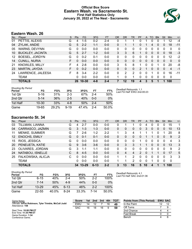### **Official Box Score Eastern Wash. vs Sacramento St. First Half Statistics Only January 20, 2022 at The Nest - Sacramento**



# **Eastern Wash. 26**

| No.     | Plaver                  | S  | <b>Pts</b> | <b>FG</b> | 3FG     | <b>FT</b> | <b>OR</b> | <b>DR</b> | TR | PF | A | TO       | <b>B</b> lk  | Stl      | Min          | $+/-$        |
|---------|-------------------------|----|------------|-----------|---------|-----------|-----------|-----------|----|----|---|----------|--------------|----------|--------------|--------------|
| 01      | PETTIS, ALEXIS          | G  | 4          | $1-5$     | $0 - 2$ | $2 - 4$   | 0         |           |    | 0  |   | 0        |              |          | 12           | $-4$         |
| 04      | ZYLAK, ANDIE            | G  | 5          | $2 - 2$   | $1 - 1$ | $0 - 0$   | 0         |           |    | 0  |   | 4        | 0            | 0        | 18           | $-11$        |
| 05      | WARNS, DEVYNN           | G  | 0          | $0 - 0$   | $0 - 0$ | $0 - 0$   | 0         | 0         | 0  | 0  | 0 | 0        | $\Omega$     | 0        | $\Omega$     | $\mathbf{0}$ |
| 10      | <b>BUCKLEY, JACINTA</b> | G  | 5          | $2 - 7$   | $1 - 2$ | $0 - 0$   | 3         | 3         | 6  | 1  | 0 | $\Omega$ | $\Omega$     | 0        | 18           | $-3$         |
| $12 \,$ | <b>BOESEL, JORDYN</b>   | G  | 0          | $0 - 2$   | $0 - 1$ | $0 - 0$   | 0         | 0         | 0  | 0  | 0 | 0        | 0            | 0        | 12           | $-2$         |
| 14      | <b>CUNILL, NURIA</b>    | F. | 0          | $0 - 0$   | $0 - 0$ | $0 - 0$   | 0         | 0         | 0  | 0  | 0 | 0        | $\mathbf{0}$ | 0        | $\mathbf{0}$ | $\mathbf{0}$ |
| 21      | KNOWLES, MILLY          | F  | 4          | $2 - 8$   | $0 - 0$ | $0 - 0$   | 3         | 5         | 8  |    | 0 | 0        |              | 0        | 20           | -8           |
| 23      | MARTIN, JAYDIA          | F. | $\Omega$   | $0 - 2$   | $0 - 0$ | $0 - 0$   | 0         | $\Omega$  | 0  | 2  |   | 0        | $\Omega$     | $\Omega$ | 4            | -1           |
| 24      | LAWRENCE, JALEESA       | F. | 8          | $3 - 4$   | $2 - 2$ | $0 - 0$   | 0         | 2         | 2  | 0  | 0 | 1        | 0            | 0        | 16           | $-11$        |
|         | <b>TEAM</b>             |    | 0          | $0 - 0$   | $0 - 0$ | $0 - 0$   |           | $\Omega$  | 1  | 0  | 0 | 0        | $\Omega$     | 0        | 0            |              |
|         | <b>TOTALS</b>           |    | 26         | $10 - 30$ | 4-8     | $2 - 4$   |           | 12        | 19 | 4  | 3 | 5        |              | 1        | 100          |              |

| <b>Shooting By Period</b><br>Period | FG        | FG%   | 3FG      | 3FG%  | FT      | FT%   | Deadball Rebounds: 1,1<br>Last FG Half: EWU 2nd-00:23 |
|-------------------------------------|-----------|-------|----------|-------|---------|-------|-------------------------------------------------------|
| 1st Otr                             | 5-16      | 31%   | $2 - 3$  | 67%   | $2 - 4$ | 50%   |                                                       |
| 2nd Qtr                             | $5 - 14$  | 36%   | $2 - 5$  | 40%   | $0 - 0$ | 0%    |                                                       |
| 1st Half                            | $10 - 30$ | 33%   | 4-8      | 50%   | $2 - 4$ | 50%   |                                                       |
| Game                                | 19-65     | 29.2% | $9 - 19$ | 47.4% | $2 - 4$ | 50.0% |                                                       |

# **Sacramento St. 34**

| No. | <b>Plaver</b>        | S | <b>Pts</b> | FG        | 3FG      | <b>FT</b> | <b>OR</b> | <b>DR</b> | TR.      | PF | A  | TO | <b>Blk</b>     | Stl      | Min         | $+/-$          |
|-----|----------------------|---|------------|-----------|----------|-----------|-----------|-----------|----------|----|----|----|----------------|----------|-------------|----------------|
| 03  | TILLMAN, LIANNA      | G | 4          | $2 - 7$   | 0-0      | $0-0$     |           |           |          |    | 4  | 0  | 0              | 0        | 15          | 1              |
| 04  | CARRASCO, JAZMIN     | G | 3          | $1 - 3$   | $1 - 3$  | $0 - 0$   | 0         | 0         | 0        | 0  | 3  | 0  | $\overline{0}$ | 0        | 10          | 13             |
| 11  | MENKE, SUMMER        | G |            | $2-6$     | $1 - 2$  | $2 - 2$   |           | 3         | 4        |    |    |    | 0              |          | 20          | 8              |
| 12  | <b>ENOCHS, EMILY</b> | G | $\Omega$   | $0 - 1$   | 0-1      | $0 - 0$   | 0         | 0         | 0        | 0  |    |    | 0              | 0        | 9           | 2              |
| 15  | RIOS, JESSICA        | G | $\Omega$   | $0 - 0$   | $0 - 0$  | $0 - 0$   | 0         | 0         | $\Omega$ |    | 0  | 0  | 0              | 0        | 4           | 3              |
| 20  | PENEUETA, KATIE      | G | 9          | $3-6$     | $3-6$    | $0 - 0$   | 0         | 3         | 3        |    |    | 0  | $\mathbf{0}$   | $\Omega$ | 13          | 3              |
| 23  | OLIVARES, JORDAN     | G | 3          | $1 - 1$   | $1 - 1$  | $0 - 0$   | 0         | 0         | 0        | 0  | 0  | 0  | 0              | 0        | 9           | $\overline{2}$ |
| 24  | NATABOU, ISNELLE     | С | 8          | $4 - 5$   | $0 - 0$  | $0 - 0$   | 0         | 4         | 4        | 2  | 0  |    |                | 0        | 17          | 5              |
| 25  | FALKOWSKA, ALICJA    | С | 0          | $0-0$     | $0 - 0$  | $0 - 0$   | 1         |           | 2        | 0  | 0  | 0  | 0              | 0        | 3           | 3              |
|     | <b>TEAM</b>          |   | 0          | $0 - 0$   | $0 - 0$  | $0 - 0$   |           |           | 2        | 0  | 0  |    | 0              | 0        | $\mathbf 0$ |                |
|     | <b>TOTALS</b>        |   | 34         | $13 - 29$ | $6 - 13$ | $2 - 2$   | 3         | 13        | 16       | 5  | 10 | 4  |                |          | 100         |                |

| <b>Shooting By Period</b><br>Period | FG        | FG%   | 3FG   | 3FG%  | FT      | FT%   |
|-------------------------------------|-----------|-------|-------|-------|---------|-------|
| 1st Qtr                             | $6 - 15$  | 40%   | 2-4   | 50%   | $2-2$   | 100%  |
| 2nd Qtr                             | 7-14      | 50%   | $4-9$ | 44%   | $0 - 0$ | $0\%$ |
| 1st Half                            | $13 - 29$ | 45%   | 6-13  | 46%   | $2-2$   | 100%  |
| Game                                | 22-55     | 40.0% | 8-24  | 33.3% | 7-14    | 50.0% |

*Deadball Rebounds:* 4,1 *Last FG Half:* SAC 2nd-01:36

| Game Notes:                                                               | <b>Score</b> | 1st | 2nd | 3rd | 4th | <b>TOT</b> | <b>Points from (This Period)</b> | <b>EWU SAC</b> |
|---------------------------------------------------------------------------|--------------|-----|-----|-----|-----|------------|----------------------------------|----------------|
| Officials: InFini Robinson, Tyler Trimble, McCall Judd<br>Attendance: 158 | EWU          | 14  |     |     | 16  | 49         | In the Paint                     |                |
|                                                                           | <b>SAC</b>   | 16  | 18  | 16  |     | -59        | Off Turns                        |                |
| Start Time: 10:00 PM ET                                                   |              |     |     |     |     |            | 2nd Chance                       |                |
| End Time: 11:35 PM ET<br>Game Duration: 1:34                              |              |     |     |     |     |            | <b>Fast Break</b>                |                |
| Conference Game:                                                          |              |     |     |     |     |            | Bench                            |                |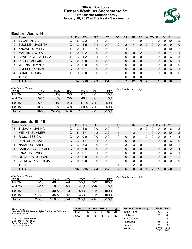### **Official Box Score Eastern Wash. vs Sacramento St. First Quarter Statistics Only January 20, 2022 at The Nest - Sacramento**



# **Eastern Wash. 14**

| No.               | Plaver                  | S. | <b>Pts</b>     | <b>FG</b> | 3FG     | <b>FT</b> | <b>OR</b> | D <sub>R</sub> | TR | PF          | A              | TO | <b>Blk</b> | Stl          | Min | $+/-$        |
|-------------------|-------------------------|----|----------------|-----------|---------|-----------|-----------|----------------|----|-------------|----------------|----|------------|--------------|-----|--------------|
| 04                | ZYLAK, ANDIE            | G  | 5              | $2 - 2$   | 1-1     | $0 - 0$   | 0         |                |    | 0           |                | 3  | 0          | 0            | 10  | $-2$         |
| 10                | <b>BUCKLEY, JACINTA</b> | G  | $\overline{2}$ | $1 - 5$   | $0 - 1$ | $0 - 0$   | 2         | 2              | 4  | 0           | 0              | 0  | 0          | 0            | 9   | $\mathbf{0}$ |
| 21                | <b>KNOWLES, MILLY</b>   | F  | 2              | $1 - 4$   | $0 - 0$ | $0 - 0$   | 3         | 4              | 7  | 1           | $\Omega$       | 0  | 1          | 0            | 10  | $-2$         |
| 23                | MARTIN, JAYDIA          | F. | 0              | $0 - 2$   | $0 - 0$ | $0 - 0$   | 0         | 0              | 0  | 2           |                | 0  | 0          | $\Omega$     | 4   | -1           |
| 24                | LAWRENCE, JALEESA       | F  | 3              | $1 - 2$   | 1-1     | $0 - 0$   | 0         | 0              | 0  | 0           | $\Omega$       | 0  | 0          | $\mathbf 0$  | 6   | -5           |
| 01                | PETTIS, ALEXIS          | G  | 2              | $0 - 0$   | $0 - 0$ | $2 - 4$   | $\Omega$  | 0              | 0  | 0           | $\Omega$       | 0  | 0          | $\mathbf{0}$ | 5   | -1           |
| 05                | <b>WARNS, DEVYNN</b>    | G  | 0              | $0 - 0$   | $0-0$   | $0 - 0$   | 0         | 0              | 0  | 0           | 0              | 0  | 0          | 0            | 0   | 0            |
| $12 \overline{ }$ | BOESEL, JORDYN          | G  | 0              | $0 - 1$   | $0 - 0$ | $0 - 0$   | $\Omega$  | $\Omega$       | 0  | 0           | $\mathbf{0}$   | 0  | 0          | $\mathbf{0}$ | 6   | 1            |
| 14                | <b>CUNILL, NURIA</b>    | F  | 0              | $0 - 0$   | $0-0$   | $0 - 0$   | 0         | 0              | 0  | 0           | $\Omega$       | 0  | 0          | 0            | 0   | $\mathbf{0}$ |
|                   | TEAM                    |    |                |           |         |           | 0         | 0              | 0  | $\mathbf 0$ |                | 0  |            |              |     |              |
|                   | <b>TOTALS</b>           |    | 14             | $5 - 16$  | $2 - 3$ | $2 - 4$   | 5         | 7              | 12 | 3           | $\overline{2}$ | 3  |            | $\Omega$     | 50  |              |

| <b>Shooting By Period</b><br>Period | FG        | FG%   | 3FG      | 3FG%  | FT      | FT%   | Deadball Rebounds: 1,1 |
|-------------------------------------|-----------|-------|----------|-------|---------|-------|------------------------|
| 1st Qtr                             | $5 - 16$  | 31%   | $2 - 3$  | 67%   | $2 - 4$ | 50%   |                        |
| 2nd Qtr                             | $5 - 14$  | 36%   | $2 - 5$  | 40%   | $0 - 0$ | 0%    |                        |
| 1st Half                            | $5 - 16$  | 31%   | $2 - 3$  | 67%   | $2 - 4$ | 50%   |                        |
| 1st Half                            | $10 - 30$ | 33%   | 4-8      | 50%   | $2 - 4$ | 50%   |                        |
| Game                                | 19-65     | 29.2% | $9 - 19$ | 47.4% | $2 - 4$ | 50.0% |                        |

# **Sacramento St. 16**

| No. | Player               | S | Pts          | FG       | 3FG     | <b>FT</b> | OR | <b>DR</b> | TR | PF | A        | TO       | <b>Blk</b> | Stl | Min      | $+/-$          |
|-----|----------------------|---|--------------|----------|---------|-----------|----|-----------|----|----|----------|----------|------------|-----|----------|----------------|
| 03  | TILLMAN, LIANNA      | G | 2            | 1-6      | $0 - 0$ | $0 - 0$   | 0  |           |    | 0  | 2        | 0        | 0          | 0   | 8        | $-2$           |
| 11  | <b>MENKE, SUMMER</b> | G | 5            | $1 - 4$  | $1 - 2$ | $2 - 2$   |    |           | 2  |    |          | $\Omega$ | 0          | 0   | 10       | 2              |
| 15  | RIOS, JESSICA        | G | 0            | $0 - 0$  | $0 - 0$ | $0-0$     | 0  | 0         | 0  |    | 0        | 0        | 0          | 0   | 4        | 3              |
| 20  | PENEUETA, KATIE      | G | 3            | $1 - 1$  | $1 - 1$ | $0 - 0$   | 0  | 0         | 0  |    |          | 0        | 0          | 0   | 6        | $\mathbf{0}$   |
| 24  | NATABOU, ISNELLE     | С | 6            | $3 - 3$  | $0 - 0$ | $0 - 0$   | 0  | 3         | 3  | 0  | 0        |          |            | 0   | 10       | $\overline{2}$ |
| 04  | CARRASCO, JAZMIN     | G | $\Omega$     | $0 - 0$  | $0 - 0$ | $0 - 0$   | 0  | 0         | 0  | 0  |          | 0        | 0          | 0   | 2        | $\overline{4}$ |
| 12  | <b>ENOCHS, EMILY</b> | G | 0            | $0 - 1$  | $0 - 1$ | $0 - 0$   | 0  | 0         | 0  | 0  | $\Omega$ |          | 0          | 0   | 6        | -1             |
| 23  | OLIVARES, JORDAN     | G | 0            | $0 - 0$  | $0 - 0$ | $0 - 0$   | 0  | 0         | 0  | 0  | $\Omega$ | 0        | 0          | 0   | 4        | 2              |
| 25  | FALKOWSKA, ALICJA    | C | <sup>0</sup> | $0 - 0$  | $0 - 0$ | $0 - 0$   | 0  | 0         | 0  | 0  | $\Omega$ | 0        | 0          | 0   | $\Omega$ | 0              |
|     | <b>TEAM</b>          |   |              |          |         |           |    | 1         | 2  | 0  |          |          |            |     |          |                |
|     | <b>TOTALS</b>        |   | 16           | $6 - 15$ | $2 - 4$ | $2 - 2$   | 2  | 6         | 8  | 3  | 5        | 2        |            | 0   | 50       |                |

| Shooting By Period |           |       |          |       |         |       |      |
|--------------------|-----------|-------|----------|-------|---------|-------|------|
| Period             | FG        | FG%   | 3FG      | 3FG%  | FT      | FT%   | Dead |
| 1st Qtr            | $6 - 15$  | 40%   | $2 - 4$  | 50%   | $2-2$   | 100%  |      |
| 2nd Qtr            | $7 - 14$  | 50%   | $4 - 9$  | 44%   | $0 - 0$ | 0%    |      |
| 1st Half           | $6 - 15$  | 40%   | $2 - 4$  | 50%   | $2-2$   | 100%  |      |
| 1st Half           | $13 - 29$ | 45%   | $6 - 13$ | 46%   | $2-2$   | 100%  |      |
| Game               | $22 - 55$ | 40.0% | $8-24$   | 33.3% | 7-14    | 50.0% |      |

*Deadball Rebounds:* 4,1

| Game Notes:                                            | <b>Score</b> | 1st | 2nd | 3rd | 4th | <b>TOT</b> | <b>Points (This Period)</b> | <b>EWU</b>    | <b>SAC</b>    |
|--------------------------------------------------------|--------------|-----|-----|-----|-----|------------|-----------------------------|---------------|---------------|
| Officials: InFini Robinson, Tyler Trimble, McCall Judd | EWU          | 14  |     |     | 16  | 49         | In the Paint                |               |               |
| Attendance: 158                                        | <b>SAC</b>   | 16  | 18  | 16  |     | 59         | Off Turns                   |               |               |
| Start Time: 10:00 PM ET                                |              |     |     |     |     |            | 2nd Chance                  |               |               |
| End Time: 11:35 PM ET<br>Game Duration: 1:34           |              |     |     |     |     |            | <b>Fast Break</b>           |               |               |
| Conference Game:                                       |              |     |     |     |     |            | Bench                       |               |               |
|                                                        |              |     |     |     |     |            | Per Poss                    | 0.875<br>6/16 | 1.000<br>7/16 |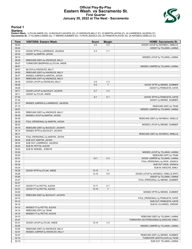#### **Official Play-By-Play Eastern Wash. vs Sacramento St. First Quarter January 20, 2022 at The Nest - Sacramento**



#### **Period 1**

<mark>Startersː</mark><br>Eastern Wash.: 4 ZYLAK,ANDIE (G); 10 BUCKLEY,JACINTA (G); 21 KNOWLES,MILLY (F); 23 MARTIN,JAYDIA (F); 24 LAWRENCE,JALEESA (F);<br>Sacramento St.: 3 TILLMAN,LIANNA (G); 11 MENKE,SUMMER (G); 15 RIOS,JESSICA (G); 20

| <b>Time</b>    | <b>VISITORS: Eastern Wash.</b>                       | <b>Score</b> | <b>Margin</b>  | <b>HOME: Sacramento St.</b>             |
|----------------|------------------------------------------------------|--------------|----------------|-----------------------------------------|
| 09:44          |                                                      | $2 - 0$      | H <sub>2</sub> | GOOD! LAYUP by NATABOU, ISNELLE         |
| 09:44          |                                                      |              |                | ASSIST by TILLMAN, LIANNA               |
| 09:34          | GOOD! 3PTR by LAWRENCE, JALEESA                      | $2 - 3$      | V <sub>1</sub> |                                         |
| 09:34          | ASSIST by MARTIN, JAYDIA                             |              |                |                                         |
| 09:14          |                                                      |              |                | MISSED LAYUP by TILLMAN, LIANNA         |
| 09:09          | REBOUND (DEF) by KNOWLES, MILLY                      |              |                |                                         |
| 09:07          | TURNOVER (BADPASS) by ZYLAK, ANDIE                   |              |                |                                         |
| 08:57          |                                                      |              |                | MISSED JUMPER by TILLMAN, LIANNA        |
| 08:57          | BLOCK by KNOWLES, MILLY                              |              |                |                                         |
| 08:50          | REBOUND (DEF) by KNOWLES, MILLY                      |              |                |                                         |
| 08:47          | MISSED JUMPER by MARTIN, JAYDIA                      |              |                |                                         |
| 08:41          | REBOUND (OFF) by KNOWLES, MILLY                      |              |                |                                         |
| 08:39          | GOOD! LAYUP by KNOWLES, MILLY                        | $2 - 5$      | $V_3$          |                                         |
| 08:26<br>08:26 |                                                      | $5-5$        | T              | GOOD! 3PTR by MENKE, SUMMER             |
| 08:11          | GOOD! LAYUP by BUCKLEY, JACINTA                      | $5 - 7$      | V <sub>2</sub> | ASSIST by PENEUETA, KATIE               |
| 08:11          | ASSIST by ZYLAK, ANDIE                               |              |                |                                         |
| 07:45          |                                                      | $8 - 7$      | H <sub>1</sub> | GOOD! 3PTR by PENEUETA, KATIE           |
| 07:45          |                                                      |              |                | ASSIST by MENKE, SUMMER                 |
| 07:17          | MISSED JUMPER by LAWRENCE, JALEESA                   |              |                |                                         |
| 07:15          |                                                      |              |                | REBOUND (DEF) by TEAM                   |
| 06:57          |                                                      |              |                | MISSED JUMPER by TILLMAN, LIANNA        |
| 06:55          | REBOUND (DEF) by KNOWLES, MILLY                      |              |                |                                         |
| 06:40          | MISSED LAYUP by MARTIN, JAYDIA                       |              |                |                                         |
| 06:39          |                                                      |              |                | REBOUND (DEF) by NATABOU, ISNELLE       |
| 06:39          | FOUL (PERSONAL) by MARTIN, JAYDIA                    |              |                |                                         |
| 06:23          |                                                      |              |                | MISSED LAYUP by MENKE, SUMMER           |
| 06:19          | REBOUND (DEF) by BUCKLEY, JACINTA                    |              |                |                                         |
| 06:16          | MISSED 3PTR by BUCKLEY, JACINTA                      |              |                |                                         |
| 06:11          |                                                      |              |                | REBOUND (DEF) by NATABOU, ISNELLE       |
| 06:04          | FOUL (PERSONAL) by MARTIN, JAYDIA                    |              |                |                                         |
| 06:04          | SUB OUT: MARTIN, JAYDIA                              |              |                |                                         |
| 06:04          | SUB OUT: LAWRENCE, JALEESA                           |              |                |                                         |
| 06:04          | SUB IN: PETTIS, ALEXIS                               |              |                |                                         |
| 06:04          | SUB IN: BOESEL, JORDYN                               |              |                |                                         |
| 05:54          |                                                      |              |                | MISSED LAYUP by TILLMAN, LIANNA         |
| 05:54          |                                                      |              |                | REBOUND (OFF) by TEAM                   |
| 05:51          |                                                      | $10 - 7$     | $H_3$          | GOOD! JUMPER by TILLMAN, LIANNA         |
| 05:34          |                                                      |              |                | FOUL (PERSONAL) by RIOS, JESSICA        |
| 05:34          |                                                      |              |                | SUB OUT: RIOS, JESSICA                  |
| 05:34          |                                                      |              |                | SUB IN: ENOCHS, EMILY                   |
| 05:28          | GOOD! 3PTR by ZYLAK, ANDIE                           | $10 - 10$    | T              |                                         |
| 05:06          |                                                      | $12 - 10$    | H <sub>2</sub> | GOOD! LAYUP by NATABOU, ISNELLE [PNT]   |
| 05:06          |                                                      |              |                | ASSIST by TILLMAN, LIANNA               |
| 04:47          |                                                      |              |                | FOUL (PERSONAL) by MENKE, SUMMER        |
| 04:47          |                                                      |              |                |                                         |
| 04:47          | GOOD! FT by PETTIS, ALEXIS                           | $12 - 11$    | H <sub>1</sub> |                                         |
| 04:47          | GOOD! FT by PETTIS, ALEXIS                           | $12 - 12$    | $\top$         |                                         |
| 04:26          |                                                      |              |                | MISSED 3PTR by MENKE, SUMMER            |
| 04:22          | REBOUND (DEF) by BUCKLEY, JACINTA                    |              |                |                                         |
| 04:10          |                                                      |              |                | FOUL (PERSONAL) by PENEUETA, KATIE      |
| 04:10          |                                                      |              |                | SUB OUT: PENEUETA, KATIE                |
| 04:10          |                                                      |              |                | SUB IN: OLIVARES, JORDAN                |
| 04:10          | MISSED FT by PETTIS, ALEXIS                          |              |                |                                         |
| 04:10<br>04:10 | REBOUND (OFF) by TEAM<br>MISSED FT by PETTIS, ALEXIS |              |                |                                         |
| 04:10          |                                                      |              |                | REBOUND (DEF) by TILLMAN, LIANNA        |
| 03:47          |                                                      |              |                | TURNOVER (OUTOFBOUNDS) by ENOCHS, EMILY |
| 03:31          | GOOD! LAYUP by ZYLAK, ANDIE                          | $12 - 14$    | V <sub>2</sub> |                                         |
| 03:05          |                                                      |              |                | MISSED JUMPER by TILLMAN, LIANNA        |
| 03:00          | REBOUND (DEF) by KNOWLES, MILLY                      |              |                |                                         |
| 02:51          | MISSED JUMPER by KNOWLES, MILLY                      |              |                |                                         |
| 02:47          |                                                      |              |                | REBOUND (DEF) by MENKE, SUMMER          |
| 02:19          |                                                      |              |                | TURNOVER (SHOTCLOCK) by TEAM            |
| 02:19          |                                                      |              |                | SUB OUT: TILLMAN, LIANNA                |
|                |                                                      |              |                |                                         |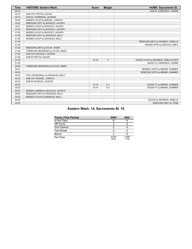| <b>Time</b> | <b>VISITORS: Eastern Wash.</b>     | <b>Score</b> | <b>Margin</b>  | <b>HOME: Sacramento St.</b>           |
|-------------|------------------------------------|--------------|----------------|---------------------------------------|
| 02:19       |                                    |              |                | SUB IN: CARRASCO, JAZMIN              |
| 02:19       | SUB OUT: PETTIS, ALEXIS            |              |                |                                       |
| 02:19       | SUB IN: LAWRENCE, JALEESA          |              |                |                                       |
| 02:06       | MISSED LAYUP by BOESEL, JORDYN     |              |                |                                       |
| 02:02       | REBOUND (OFF) by BUCKLEY, JACINTA  |              |                |                                       |
| 02:01       | MISSED LAYUP by BUCKLEY, JACINTA   |              |                |                                       |
| 01:52       | REBOUND (OFF) by BUCKLEY, JACINTA  |              |                |                                       |
| 01:52       | MISSED LAYUP by BUCKLEY, JACINTA   |              |                |                                       |
| 01:49       | REBOUND (OFF) by KNOWLES, MILLY    |              |                |                                       |
| 01:48       | MISSED LAYUP by KNOWLES, MILLY     |              |                |                                       |
| 01:45       |                                    |              |                | REBOUND (DEF) by NATABOU, ISNELLE     |
| 01:34       |                                    |              |                | MISSED 3PTR by ENOCHS, EMILY          |
| 01:29       | REBOUND (DEF) by ZYLAK, ANDIE      |              |                |                                       |
| 01:26       | TURNOVER (BADPASS) by ZYLAK, ANDIE |              |                |                                       |
| 01:26       | SUB OUT: BUCKLEY, JACINTA          |              |                |                                       |
| 01:26       | SUB IN: PETTIS, ALEXIS             |              |                |                                       |
| 01:00       |                                    | $14 - 14$    | T              | GOOD! LAYUP by NATABOU, ISNELLE [PNT] |
| 01:00       |                                    |              |                | ASSIST by CARRASCO, JAZMIN            |
| 00:48       | TURNOVER (BADPASS) by ZYLAK, ANDIE |              |                |                                       |
| 00:27       |                                    |              |                | MISSED LAYUP by MENKE, SUMMER         |
| 00:25       |                                    |              |                | REBOUND (OFF) by MENKE, SUMMER        |
| 00:25       | FOUL (PERSONAL) by KNOWLES, MILLY  |              |                |                                       |
| 00:25       | SUB OUT: BOESEL, JORDYN            |              |                |                                       |
| 00:25       | SUB IN: BUCKLEY, JACINTA           |              |                |                                       |
| 00:25       |                                    | $15 - 14$    | H <sub>1</sub> | GOOD! FT by MENKE, SUMMER             |
| 00:25       |                                    | $16-14$      | H <sub>2</sub> | GOOD! FT by MENKE, SUMMER             |
| 00:00       | MISSED JUMPER by BUCKLEY, JACINTA  |              |                |                                       |
| 00:00       | REBOUND (OFF) by KNOWLES, MILLY    |              |                |                                       |
| 00:00       | MISSED LAYUP by KNOWLES, MILLY     |              |                |                                       |
| 00:00       |                                    |              |                | BLOCK by NATABOU, ISNELLE             |
| 00:00       |                                    |              |                | REBOUND (DEF) by TEAM                 |

# **Eastern Wash. 14, Sacramento St. 16**

| <b>Points (This Period)</b> | <b>EWU</b>    | <b>SAC</b>    |
|-----------------------------|---------------|---------------|
| In the Paint                |               |               |
| Off Turns                   |               |               |
| 2nd Chance                  |               |               |
| Fast Break                  |               |               |
| Bench                       |               |               |
| Per Poss                    | 0.875<br>6/16 | 1.000<br>7/16 |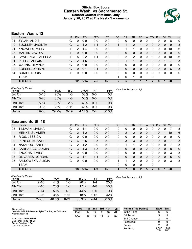#### **Official Box Score Eastern Wash. vs Sacramento St. Second Quarter Statistics Only January 20, 2022 at The Nest - Sacramento**



# **Eastern Wash. 12**

| No.               | Plaver                  | S  | Pts           | <b>FG</b> | 3FG     | <b>FT</b> | <b>OR</b> | <b>DR</b>    | TR | PF | A            | TO       | <b>Blk</b> | Stl      | Min      | $+/-$        |
|-------------------|-------------------------|----|---------------|-----------|---------|-----------|-----------|--------------|----|----|--------------|----------|------------|----------|----------|--------------|
| 04                | ZYLAK, ANDIE            | G  | 0             | $0 - 0$   | $0 - 0$ | $0 - 0$   | 0         | 0            | 0  | 0  | 0            |          | 0          | 0        | 8        | -9           |
| 10                | <b>BUCKLEY, JACINTA</b> | G  | 3             | $1 - 2$   | $1 - 1$ | $0-0$     |           |              | 2  |    | 0            | $\Omega$ | 0          | $\Omega$ | 9        | $-3$         |
| 21                | <b>KNOWLES, MILLY</b>   | F. | $\mathcal{P}$ | 1-4       | $0 - 0$ | $0 - 0$   | $\Omega$  |              | 1  | 0  | $\mathbf{0}$ | $\Omega$ | 0          | 0        | 10       | -6           |
| 23                | MARTIN, JAYDIA          | F  | 0             | $0 - 0$   | $0 - 0$ | $0 - 0$   | $\Omega$  | 0            | 0  | 0  | $\Omega$     | $\Omega$ | $\Omega$   | $\Omega$ | $\Omega$ | $\mathbf{0}$ |
| 24                | LAWRENCE, JALEESA       | F  | 5             | $2 - 2$   | $1 - 1$ | $0-0$     | 0         | 2            | 2  | 0  | 0            |          | 0          | 0        | 10       | -6           |
| 01                | PETTIS, ALEXIS          | G  | $\mathcal{P}$ | $1 - 5$   | $0 - 2$ | $0 - 0$   | 0         |              | 1  | 0  |              | 0        | 0          |          |          | $-3$         |
| 05                | <b>WARNS, DEVYNN</b>    | G  | 0             | $0 - 0$   | $0 - 0$ | $0 - 0$   | 0         | 0            | 0  | 0  | 0            | 0        | 0          | 0        | 0        | $\mathbf{0}$ |
| $12 \overline{ }$ | BOESEL, JORDYN          | G  | 0             | $0 - 1$   | $0 - 1$ | $0 - 0$   | $\Omega$  | 0            | 0  | 0  | $\mathbf{0}$ | $\Omega$ | 0          | 0        | 6        | $-3$         |
| 14                | <b>CUNILL, NURIA</b>    | F  | 0             | $0 - 0$   | $0 - 0$ | $0 - 0$   | 0         | $\Omega$     | 0  | 0  | 0            | $\Omega$ | 0          | 0        | 0        | $\mathbf{0}$ |
|                   | TEAM                    |    |               |           |         |           |           | $\mathbf{0}$ | 1  | 0  |              | 0        |            |          |          |              |
|                   | <b>TOTALS</b>           |    | $12-$         | $5 - 14$  | $2 - 5$ | $0 - 0$   | 2         | 5            |    |    |              | 2        | 0          |          | 50       |              |

| <b>Shooting By Period</b><br>Period | FG       | FG%        | 3FG      | 3FG%  | FT      | FT%   | Deadball Rebounds: 1,1 |
|-------------------------------------|----------|------------|----------|-------|---------|-------|------------------------|
| 3rd Qtr                             | $3 - 15$ | <b>20%</b> | $1 - 3$  | 33%   | $0 - 0$ | 0%    |                        |
| 4th Qtr                             | $6 - 20$ | 30%        | $4 - 8$  | 50%   | $0 - 0$ | 0%    |                        |
| 2nd Half                            | $5 - 14$ | 36%        | $2 - 5$  | 40%   | $0 - 0$ | 0%    |                        |
| 2nd Half                            | $9 - 35$ | 26%        | $5 - 11$ | 45%   | 0-0     | 0%    |                        |
| Game                                | 19-65    | 29.2%      | $9 - 19$ | 47.4% | $2 - 4$ | 50.0% |                        |

# **Sacramento St. 18**

| No. | Plaver               | S | <b>Pts</b>   | FG.     | 3FG     | <b>FT</b> | <b>OR</b> | <b>DR</b> | TR             | PF            | A        | TO | <b>Blk</b> | Stl | Min | $+/-$    |
|-----|----------------------|---|--------------|---------|---------|-----------|-----------|-----------|----------------|---------------|----------|----|------------|-----|-----|----------|
| 03  | TILLMAN, LIANNA      | G | 2            | 1-1     | $0 - 0$ | $0 - 0$   | 0         | 0         | 0              | 0             | 2        | ∩  |            | 0   |     | 3        |
| 11  | <b>MENKE, SUMMER</b> | G | 2            | $1 - 2$ | $0 - 0$ | $0 - 0$   | 0         | 2         | $\overline{2}$ | 0             | 0        |    | 0          |     | 10  | 6        |
| 15  | RIOS, JESSICA        | G | 0            | $0 - 0$ | $0 - 0$ | $0-0$     | 0         | 0         | 0              | 0             | 0        | 0  |            | 0   | 0   | 0        |
| 20  | PENEUETA, KATIE      | G | 6            | $2 - 5$ | $2 - 5$ | $0-0$     | 0         | 3         | 3              | 0             | 0        | 0  | 0          | 0   |     | 3        |
| 24  | NATABOU, ISNELLE     | С | 2            | 1-2     | $0 - 0$ | $0 - 0$   | 0         |           | 1              | 2             | 0        |    | 0          | 0   |     | 3        |
| 04  | CARRASCO, JAZMIN     | G | 3            | $1 - 3$ | $1 - 3$ | $0-0$     | 0         | 0         | 0              | 0             | 2        | 0  | 0          | 0   | 8   | 9        |
| 12  | <b>ENOCHS, EMILY</b> | G | 0            | $0 - 0$ | $0 - 0$ | $0 - 0$   | 0         | 0         | 0              | 0             |          | 0  | 0          | 0   | 3   | 3        |
| 23  | OLIVARES, JORDAN     | G | 3            | $1 - 1$ | $1 - 1$ | $0 - 0$   | 0         | 0         | 0              | 0             | 0        | 0  | 0          | 0   | 5   | $\Omega$ |
| 25  | FALKOWSKA, ALICJA    | С | <sup>0</sup> | $0 - 0$ | $0 - 0$ | $0 - 0$   |           |           | 2              | 0             | $\Omega$ | 0  | 0          | 0   | 3   | 3        |
|     | <b>TEAM</b>          |   |              |         |         |           | 0         | 0         | 0              | 0             |          | 0  |            |     |     |          |
|     | <b>TOTALS</b>        |   | 18           | 7-14    | $4 - 9$ | $0 - 0$   |           |           | 8              | $\mathcal{P}$ | 5        | 2  |            |     | 50  |          |

**Score 1st 2nd 3rd 4th TOT** EWU 14 12 7 16 **49** SAC 16 18 16 9 **59**

| <b>Shooting By Period</b><br>Period | FG        | FG%   | 3FG      | 3FG%  | FT       | FT%   | Deadball Rebounds: 4,1 |
|-------------------------------------|-----------|-------|----------|-------|----------|-------|------------------------|
| 3rd Qtr                             | 7-16      | 44%   | $1-5$    | 20%   | 1-4      | 25%   |                        |
| 4th Qtr                             | $2 - 10$  | 20%   | 1-6      | 17%   | $4 - 8$  | 50%   |                        |
| 2nd Half                            | 7-14      | 50%   | $4-9$    | 44%   | $0 - 0$  | $0\%$ |                        |
| 2nd Half                            | $9 - 26$  | 35%   | $2 - 11$ | 18%   | $5 - 12$ | 42%   |                        |
| Game                                | $22 - 55$ | 40.0% | $8-24$   | 33.3% | 7-14     | 50.0% |                        |

**Points (This Period) EWU SAC** In the Paint  $\overline{6}$ 

Start Time: **10:00 PM ET** End Time: **11:35 PM ET** Game Duration: **1:34** Conference Game;

Attendance: **158**

Game Notes: Officials: **InFini Robinson, Tyler Trimble, McCall Judd**

| Off Turns         | 5             | 5             |
|-------------------|---------------|---------------|
| 2nd Chance        | 2             |               |
| <b>Fast Break</b> |               |               |
| Bench             | 2             | 6             |
| Per Poss          | 0.857<br>5/14 | 1.200<br>7/15 |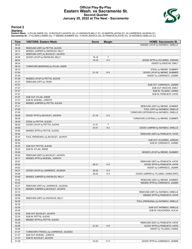#### **Official Play-By-Play Eastern Wash. vs Sacramento St. Second Quarter January 20, 2022 at The Nest - Sacramento**



#### **Period 2**

#### **Starters:**

Eastern Wash.: 4 ZYLAK,ANDIE (G); 10 BUCKLEY,JACINTA (G); 21 KNOWLES,MILLY (F); 23 MARTIN,JAYDIA (F); 24 LAWRENCE,JALEESA (F);<br>**Sacramento St.**: 3 TILLMAN,LIANNA (G); 11 MENKE,SUMMER (G); 15 RIOS,JESSICA (G); 20 PENEUETA,K

| Time           | <b>VISITORS: Eastern Wash.</b>                                          | <b>Score</b> | <b>Margin</b>  | <b>HOME: Sacramento St.</b>              |
|----------------|-------------------------------------------------------------------------|--------------|----------------|------------------------------------------|
| 09:32          |                                                                         |              |                | MISSED LAYUP by NATABOU, ISNELLE         |
| 09:28          | REBOUND (DEF) by PETTIS, ALEXIS                                         |              |                |                                          |
| 09:15          | MISSED JUMPER by KNOWLES, MILLY                                         |              |                |                                          |
| 09:11          | REBOUND (OFF) by BUCKLEY, JACINTA                                       |              |                |                                          |
| 08:58          | GOOD! LAYUP by KNOWLES, MILLY                                           | $16-16$      | T              |                                          |
| 08:24          |                                                                         | 19-16        | $H_3$          | GOOD! 3PTR by OLIVARES, JORDAN           |
| 08:24          |                                                                         |              |                | ASSIST by ENOCHS, EMILY                  |
| 08:10          | TURNOVER (BADPASS) by ZYLAK, ANDIE                                      |              |                |                                          |
| 08:10          |                                                                         |              |                | STEAL by MENKE, SUMMER                   |
| 07:50<br>07:50 |                                                                         | $21 - 16$    | H <sub>5</sub> | GOOD! LAYUP by MENKE, SUMMER             |
| 07:29          | MISSED LAYUP by PETTIS, ALEXIS                                          |              |                | ASSIST by CARRASCO, JAZMIN               |
| 07:27          | REBOUND (OFF) by TEAM                                                   |              |                |                                          |
| 07:27          |                                                                         |              |                | SUB OUT: CARRASCO, JAZMIN                |
| 07:27          |                                                                         |              |                | SUB OUT: ENOCHS, EMILY                   |
| 07:27          |                                                                         |              |                | SUB IN: TILLMAN, LIANNA                  |
| 07:27          |                                                                         |              |                | SUB IN: PENEUETA, KATIE                  |
| 07:27          | SUB OUT: ZYLAK, ANDIE                                                   |              |                |                                          |
| 07:27          | SUB IN: BOESEL, JORDYN                                                  |              |                |                                          |
| 07:24          | MISSED JUMPER by PETTIS, ALEXIS                                         |              |                |                                          |
| 07:21          |                                                                         |              |                | REBOUND (DEF) by MENKE, SUMMER           |
| 07:05          |                                                                         |              |                | FOUL (OFF) by NATABOU, ISNELLE           |
| 07:05          |                                                                         |              |                | TURNOVER (OFFENSIVE) by NATABOU, ISNELLE |
| 06:59          | GOOD! 3PTR by BUCKLEY, JACINTA                                          | $21-19$      | H <sub>2</sub> |                                          |
| 06:39          |                                                                         |              |                | TURNOVER (LOSTBALL) by MENKE, SUMMER     |
| 06:39          | STEAL by PETTIS, ALEXIS                                                 |              |                |                                          |
| 06:22          | GOOD! LAYUP by PETTIS, ALEXIS                                           | $21 - 21$    | T              |                                          |
| 05:59<br>05:46 |                                                                         | $23 - 21$    | H <sub>2</sub> | GOOD! JUMPER by NATABOU, ISNELLE         |
| 05:42          | MISSED 3PTR by PETTIS, ALEXIS                                           |              |                | REBOUND (DEF) by PENEUETA, KATIE         |
| 05:30          | FOUL (PERSONAL) by BUCKLEY, JACINTA                                     |              |                |                                          |
| 05:30          |                                                                         |              |                | SUB OUT: OLIVARES, JORDAN                |
| 05:30          |                                                                         |              |                | SUB IN: CARRASCO, JAZMIN                 |
| 05:30          | SUB OUT: PETTIS, ALEXIS                                                 |              |                |                                          |
| 05:30          | SUB IN: ZYLAK, ANDIE                                                    |              |                |                                          |
| 05:26          |                                                                         |              |                | MISSED LAYUP by MENKE, SUMMER            |
| 05:20          | REBOUND (DEF) by BUCKLEY, JACINTA                                       |              |                |                                          |
| 05:17          | MISSED 3PTR by BOESEL, JORDYN                                           |              |                |                                          |
| 05:07          |                                                                         |              |                | REBOUND (DEF) by PENEUETA, KATIE         |
| 04:52          |                                                                         | $26 - 21$    | H <sub>5</sub> | GOOD! 3PTR by PENEUETA, KATIE            |
| 04:52          |                                                                         |              |                | ASSIST by CARRASCO, JAZMIN               |
| 04:21          | GOOD! LAYUP by LAWRENCE, JALEESA                                        | 26-23        | $H_3$          |                                          |
| 04:06          |                                                                         | 28-23        | H <sub>5</sub> | GOOD! JUMPER by TILLMAN, LIANNA [PNT]    |
| 03:49          | MISSED JUMPER by KNOWLES, MILLY                                         |              |                |                                          |
| 03:45          |                                                                         |              |                | REBOUND (DEF) by MENKE, SUMMER           |
| 03:32<br>03:27 |                                                                         |              |                | MISSED 3PTR by CARRASCO, JAZMIN          |
| 03:16          | REBOUND (DEF) by LAWRENCE, JALEESA<br>MISSED JUMPER by BUCKLEY, JACINTA |              |                |                                          |
| 03:12          |                                                                         |              |                | REBOUND (DEF) by NATABOU, ISNELLE        |
| 02:58          |                                                                         |              |                | MISSED 3PTR by PENEUETA, KATIE           |
| 02:55          | REBOUND (DEF) by KNOWLES, MILLY                                         |              |                |                                          |
| 02:35          |                                                                         |              |                | FOUL (PERSONAL) by NATABOU, ISNELLE      |
| 02:35          |                                                                         |              |                |                                          |
| 02:35          |                                                                         |              |                | SUB OUT: NATABOU, ISNELLE                |
| 02:35          |                                                                         |              |                | SUB IN: FALKOWSKA, ALICJA                |
| 02:35          | SUB OUT: BUCKLEY, JACINTA                                               |              |                |                                          |
| 02:35          | SUB IN: PETTIS, ALEXIS                                                  |              |                |                                          |
| 02:29          | MISSED 3PTR by PETTIS, ALEXIS                                           |              |                |                                          |
| 02:26          |                                                                         |              |                | REBOUND (DEF) by PENEUETA, KATIE         |
| 02:06          |                                                                         | $31 - 23$    | H <sub>8</sub> | GOOD! 3PTR by PENEUETA, KATIE            |
| 02:06          |                                                                         |              |                | ASSIST by TILLMAN, LIANNA                |
| 01:47          | TURNOVER (TRAVEL) by LAWRENCE, JALEESA                                  |              |                |                                          |
| 01:47          | SUB OUT: BOESEL, JORDYN                                                 |              |                |                                          |
| 01:47          | SUB IN: BUCKLEY, JACINTA                                                |              |                |                                          |
| 01:36          |                                                                         | 34-23        | H 11           | GOOD! 3PTR by CARRASCO, JAZMIN           |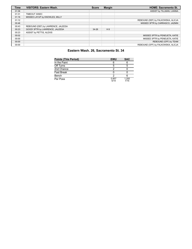| Time  | <b>VISITORS: Eastern Wash.</b>     | <b>Score</b> | <b>Margin</b> | <b>HOME: Sacramento St.</b>        |
|-------|------------------------------------|--------------|---------------|------------------------------------|
| 01:36 |                                    |              |               | ASSIST by TILLMAN, LIANNA          |
| 01:31 | TIMEOUT 30SEC                      |              |               |                                    |
| 01:16 | MISSED LAYUP by KNOWLES, MILLY     |              |               |                                    |
| 01:12 |                                    |              |               | REBOUND (DEF) by FALKOWSKA, ALICJA |
| 00:46 |                                    |              |               | MISSED 3PTR by CARRASCO, JAZMIN    |
| 00:43 | REBOUND (DEF) by LAWRENCE, JALEESA |              |               |                                    |
| 00:23 | GOOD! 3PTR by LAWRENCE, JALEESA    | $34 - 26$    | H8            |                                    |
| 00:23 | ASSIST by PETTIS, ALEXIS           |              |               |                                    |
| 00:02 |                                    |              |               | MISSED 3PTR by PENEUETA, KATIE     |
| 00:00 |                                    |              |               | MISSED 3PTR by PENEUETA, KATIE     |
| 00:00 |                                    |              |               | REBOUND (OFF) by TEAM              |
| 00:00 |                                    |              |               | REBOUND (OFF) by FALKOWSKA, ALICJA |

# **Eastern Wash. 26, Sacramento St. 34**

| <b>Points (This Period)</b> | <b>EWU</b>    | <b>SAC</b>    |
|-----------------------------|---------------|---------------|
| In the Paint                |               |               |
| Off Turns                   | 5             |               |
| 2nd Chance                  |               |               |
| <b>Fast Break</b>           |               |               |
| Bench                       |               |               |
| Per Poss                    | 0.857<br>5/14 | 1.200<br>7/15 |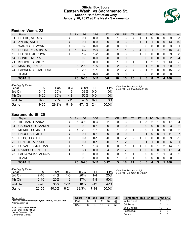### **Official Box Score Eastern Wash. vs Sacramento St. Second Half Statistics Only January 20, 2022 at The Nest - Sacramento**



# **Eastern Wash. 23**

| No. | Plaver                  | S  | <b>Pts</b> | <b>FG</b>  | 3FG     | <b>FT</b> | <b>OR</b> | <b>DR</b> | <b>TR</b>      | PF | A  | TO | <b>B</b> lk | Stl | Min | $+/-$ |
|-----|-------------------------|----|------------|------------|---------|-----------|-----------|-----------|----------------|----|----|----|-------------|-----|-----|-------|
| 01  | PETTIS, ALEXIS          | G  | 0          | $0 - 4$    | $0 - 0$ | $0 - 0$   |           | 3         | 4              |    |    | 0  | 0           | 0   | 9   | 3     |
| 04  | ZYLAK, ANDIE            | G  | 0          | $0 - 1$    | $0 - 0$ | $0 - 0$   | 0         | 3         | 3              |    |    |    | 0           | 0   | 13  | $-10$ |
| 05  | WARNS, DEVYNN           | G  | 0          | $0 - 0$    | $0 - 0$ | $0 - 0$   | 0         | 0         | $\Omega$       | 0  | 0  | 0  | 0           | 0   | 3   | 1     |
| 10  | <b>BUCKLEY, JACINTA</b> | G  | 10         | $4 - 7$    | $2 - 3$ | $0 - 0$   |           |           | $\overline{2}$ | 4  | 0  |    |             | 2   | 16  | -6    |
| 12  | BOESEL, JORDYN          | G  | 3          | $1 - 2$    | $1-2$   | $0 - 0$   | 0         | 3         | 3              |    | 0  | 0  | 0           | 0   | 9   | 8     |
| 14  | <b>CUNILL, NURIA</b>    | F. | $\Omega$   | $0 - 0$    | $0 - 0$ | $0 - 0$   | 0         | 0         | 0              | 0  | 0  | 0  | 0           | 0   | 2   | $-4$  |
| 21  | <b>KNOWLES, MILLY</b>   | F. | 0          | $0 - 3$    | $0 - 0$ | $0 - 0$   |           | 0         |                | 0  |    | 2  |             |     | 13  | -5    |
| 23  | MARTIN, JAYDIA          | F. |            | $5 \t2-13$ | $1 - 5$ | $0 - 0$   | 2         | 3         | 5              | 0  |    | 2  | $\Omega$    |     | 20  | $-2$  |
| 24  | LAWRENCE, JALEESA       | F. | 5          | $2 - 5$    | $1 - 1$ | $0 - 0$   | 2         | 2         | 4              | 2  |    | 2  | 0           | 0   | 15  | 5     |
|     | <b>TEAM</b>             |    | 0          | $0 - 0$    | $0 - 0$ | $0 - 0$   | 3         | 0         | 3              | 0  | 0  | 0  | 0           | 0   | 0   |       |
|     | <b>TOTALS</b>           |    | 23         | $9 - 35$   | $5-11$  | $0 - 0$   | 10        | 15        | 25             | 9  | 5. | 8  | 2           | 4   | 100 |       |

| <b>Shooting By Period</b><br>Period | FG       | FG%        | 3FG      | 3FG% | FT      | FT%   | Deadball Rebounds: 1,1<br>Last FG Half: EWU 4th-00:43 |
|-------------------------------------|----------|------------|----------|------|---------|-------|-------------------------------------------------------|
| 3rd Qtr                             | $3 - 15$ | <b>20%</b> | $1 - 3$  | 33%  | $0 - 0$ | $0\%$ |                                                       |
| 4th Qtr                             | $6 - 20$ | 30%        | 4-8      | 50%  | $0 - 0$ | 0%    |                                                       |
| 2nd Half                            | $9 - 35$ | 26%        | $5 - 11$ | 45%  | $0 - 0$ | 0%    |                                                       |
| Game                                | 19-65    | 29.2%      | $9 - 19$ | 474% | $2 - 4$ | 50.0% |                                                       |

# **Sacramento St. 25**

| No.               | Plaver               | S | <b>Pts</b> | FG       | 3FG      | <b>FT</b> | <b>OR</b> | <b>DR</b> | TR | PF | A        | TO | <b>Blk</b> | Stl | Min   | $+/-$          |
|-------------------|----------------------|---|------------|----------|----------|-----------|-----------|-----------|----|----|----------|----|------------|-----|-------|----------------|
| 03                | TILLMAN, LIANNA      | G | 6          | $3 - 10$ | $0 - 3$  | $0 - 2$   | 0         | 3         | 3  |    | 3        | 2  |            | 0   | 17    | 4              |
| 04                | CARRASCO, JAZMIN     | G | 0          | $0 - 3$  | $0 - 1$  | $0 - 0$   | 0         | 0         | 0  | 0  | 0        | 0  | 0          | 0   | 3     | $-2$           |
| 11                | <b>MENKE, SUMMER</b> | G |            | $2 - 3$  | $1 - 1$  | $2-6$     | 1.        | 0         | 1  | 2  | 0        |    | 0          | 0   | 20    | $\overline{2}$ |
| $12 \overline{ }$ | <b>ENOCHS, EMILY</b> | G | 0          | $0 - 1$  | $0 - 1$  | $0 - 0$   | 0         | 0         | 0  | 0  |          | 0  | 0          |     | 11    | 7              |
| 15                | RIOS, JESSICA        | G | 0          | $0 - 1$  | $0 - 1$  | $0 - 0$   | 0         | 2         | 2  |    | 0        | O  |            | 0   | 9     | $-2$           |
| <b>20</b>         | PENEUETA, KATIE      | G | 0          | $0 - 1$  | $0 - 1$  | $0 - 0$   |           | 2         | 3  | 0  |          |    | 0          | 0   | 6     | $\mathbf{1}$   |
| -23               | OLIVARES, JORDAN     | G | 3          | $1 - 3$  | 1-3      | $0 - 0$   | 0         |           |    |    | 0        | 0  |            | 2   | 14    | $-2$           |
| 24                | NATABOU, ISNELLE     | C | 9          | $3 - 4$  | $0 - 0$  | $3 - 4$   | 2         |           | 9  |    | $\Omega$ | 0  | $\Omega$   |     | 17    | $\overline{4}$ |
| 25                | FALKOWSKA, ALICJA    | C | 0          | $0 - 0$  | $0 - 0$  | $0 - 0$   | $\Omega$  |           |    | 0  | 0        | 0  |            |     | 3     | $-2$           |
|                   | <b>TEAM</b>          |   | 0          | $0 - 0$  | $0 - 0$  | $0 - 0$   | 1         | 0         |    | 0  | 0        | 0  | 0          | 0   | 0     |                |
|                   | <b>TOTALS</b>        |   | 25         | $9 - 26$ | $2 - 11$ | $5 - 12$  | 5         | 16        | 21 | 6  | 5        | 4  | 3          |     | 5 100 |                |

| <b>Shooting By Period</b><br>Period | FG        | FG%   | 3FG      | 3FG%  | FТ      | FT%   |
|-------------------------------------|-----------|-------|----------|-------|---------|-------|
| 3rd Qtr                             | 7-16      | 44%   | $1-5$    | 20%   | $1 - 4$ | 25%   |
| 4th Qtr                             | $2 - 10$  | 20%   | 1-6      | 17%   | 4-8     | 50%   |
| 2nd Half                            | $9 - 26$  | 35%   | $2 - 11$ | 18%   | $5-12$  | 42%   |
| Game                                | $22 - 55$ | 40.0% | 8-24     | 33.3% | 7-14    | 50.0% |

*Deadball Rebounds:* 4,1 *Last FG Half:* SAC 4th-08:07

| Game Notes:                                            | <b>Score</b> | 1st l | 2nd | 3rd | 4th | <b>TOT</b> | <b>Points from (This Period)</b> |    | <b>EWU SAC</b> |
|--------------------------------------------------------|--------------|-------|-----|-----|-----|------------|----------------------------------|----|----------------|
| Officials: InFini Robinson, Tyler Trimble, McCall Judd | <b>EWU</b>   | 14    |     |     | 16  | 49         | In the Paint                     |    | 10             |
| Attendance: 158                                        | <b>SAC</b>   | 16    | 18  | 16  |     | 59         | Off Turns                        |    |                |
| Start Time: 10:00 PM ET                                |              |       |     |     |     |            | 2nd Chance                       | 10 |                |
| End Time: 11:35 PM ET<br>Game Duration: 1:34           |              |       |     |     |     |            | <b>Fast Break</b>                |    |                |
| Conference Game:                                       |              |       |     |     |     |            | Bench                            |    |                |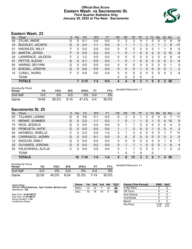#### **Official Box Score Eastern Wash. vs Sacramento St. Third Quarter Statistics Only January 20, 2022 at The Nest - Sacramento**



# **Eastern Wash. 23**

| No. | Plaver                  | S | <b>Pts</b> | <b>FG</b> | 3FG     | <b>FT</b> | <b>OR</b> | <b>DR</b>    | TR | PF | A        | TO       | <b>Blk</b>    | Stl          | Min | $+/-$        |
|-----|-------------------------|---|------------|-----------|---------|-----------|-----------|--------------|----|----|----------|----------|---------------|--------------|-----|--------------|
| 04  | ZYLAK, ANDIE            | G | 0          | $0 - 1$   | $0 - 0$ | $0-0$     | 0         | 3            | 3  | 0  |          | 0        | 0             | 0            | -9  | -9           |
| 10  | <b>BUCKLEY, JACINTA</b> | G | 5          | $2 - 4$   | $1 - 1$ | $0-0$     | 0         |              |    |    | 0        |          |               |              | 8   | $-11$        |
| 21  | <b>KNOWLES, MILLY</b>   | F | 0          | $0 - 2$   | $0 - 0$ | $0 - 0$   | $\Omega$  | 0            | 0  | 0  | 0        | 0        |               |              | 8   | -5           |
| 23  | MARTIN, JAYDIA          | F | 0          | $0 - 5$   | $0 - 2$ | $0 - 0$   | 1         | 0            | 1  | 0  | $\Omega$ | 2        | 0             | 0            | 10  | -9           |
| 24  | LAWRENCE, JALEESA       | F | 2          | $1 - 2$   | $0-0$   | $0 - 0$   | 0         | 0            | 0  | U  | 0        | 2        | 0             | 0            | 8   | -4           |
| 01  | PETTIS, ALEXIS          | G | 0          | $0 - 1$   | $0 - 0$ | $0 - 0$   |           | 0            | 1  | 0  | 0        | 0        | 0             | 0            | 3   | $-5$         |
| 05  | <b>WARNS, DEVYNN</b>    | G | 0          | $0 - 0$   | $0 - 0$ | $0 - 0$   | 0         | 0            | 0  | 0  | 0        | 0        | 0             | 0            |     | $\mathbf{0}$ |
| 12  | BOESEL, JORDYN          | G | 0          | $0 - 0$   | $0 - 0$ | $0 - 0$   | 0         | 0            | 0  |    | 0        | $\Omega$ | 0             | $\mathbf{0}$ |     | 2            |
| 14  | <b>CUNILL, NURIA</b>    | F | 0          | $0 - 0$   | $0 - 0$ | $0 - 0$   | 0         | 0            | 0  | 0  | 0        | $\Omega$ | 0             | 0            | 2   | -4           |
|     | TEAM                    |   |            |           |         |           | 2         | $\mathbf{0}$ | 2  | 0  |          | 0        |               |              |     |              |
|     | <b>TOTALS</b>           |   |            | $3 - 15$  | $1 - 3$ | $0 - 0$   | 4         | 4            | 8  | 2  |          | 5        | $\mathcal{P}$ | 2            | 50  |              |

| <b>Shooting By Period</b><br>Period | FG    | FG%   | 3FG      | 3FG%  | FТ      | FT%   | Deadball Rebounds: 1,1 |
|-------------------------------------|-------|-------|----------|-------|---------|-------|------------------------|
| 2nd Half                            | ი ი   | 0%    | ი ი      | 0%    | $0 - 0$ | 0%    |                        |
| Game                                | 19-65 | 29.2% | $9 - 19$ | 47.4% | $2 - 4$ | 50.0% |                        |

# **Sacramento St. 25**

| No. | Plaver               | S | <b>Pts</b> | <b>FG</b> | 3FG     | <b>FT</b> | <b>OR</b> | DR | TR             | PF | A        | TO           | <b>Blk</b> | Stl      | Min | $+/-$          |
|-----|----------------------|---|------------|-----------|---------|-----------|-----------|----|----------------|----|----------|--------------|------------|----------|-----|----------------|
| 03  | TILLMAN, LIANNA      | G | 6          | $3-6$     | $0 - 1$ | $0-0$     | 0         | 3  | 3              |    | 3        | 0            | 0          | 0        |     | 11             |
| 11  | <b>MENKE, SUMMER</b> | G | 5          | $2 - 2$   | $1 - 1$ | $0 - 2$   |           | 0  |                |    | 0        |              | 0          | 0        | 10  | 9              |
| 15  | RIOS, JESSICA        | G | 0          | $0 - 0$   | $0-0$   | $0-0$     | 0         |    | 1              | 0  | 0        | 0            | $\Omega$   | 0        | 4   | 5              |
| 20  | PENEUETA, KATIE      | G | 0          | $0 - 0$   | $0 - 0$ | $0 - 0$   |           |    | $\overline{2}$ | 0  | 0        |              | 0          | 0        | 4   | 2              |
| 24  | NATABOU, ISNELLE     | С | 5          | $2 - 3$   | $0 - 0$ | $1 - 2$   | 2         |    | 3              | 0  | 0        | 0            |            |          |     | 11             |
| 04  | CARRASCO, JAZMIN     | G | 0          | $0 - 3$   | $0 - 1$ | $0 - 0$   | 0         | 0  | 0              | 0  | 0        | 0            | 0          | $\Omega$ | 3   | $-2$           |
| 12  | <b>ENOCHS, EMILY</b> | G | 0          | $0 - 0$   | $0 - 0$ | $0 - 0$   | 0         | 0  | 0              | 0  | 0        | <sup>0</sup> | 0          |          | 6   | 7              |
| 23  | OLIVARES, JORDAN     | G | 0          | $0 - 2$   | $0 - 2$ | $0 - 0$   | 0         |    |                |    | $\Omega$ | $\Omega$     | 0          |          | 6   | $\overline{4}$ |
| 25  | FALKOWSKA, ALICJA    | C | U          | $0 - 0$   | $0-0$   | $0 - 0$   | $\Omega$  |    | 1              | 0  | 0        | <sup>0</sup> | 1          | 1        | 3   | $-2$           |
|     | TEAM                 |   |            |           |         |           |           | 0  | 1              | 0  |          | 0            |            |          |     |                |
|     | <b>TOTALS</b>        |   | 16         | 7-16      | $1 - 5$ | $1 - 4$   | 5         | 8  | 13             | 3  | 3        | 2            | я          |          | 50  |                |

| <b>Shooting By Period</b><br>Period | FG        | FG%   | 3FG    | 3FG%  | FT   | FT%   |
|-------------------------------------|-----------|-------|--------|-------|------|-------|
| 2nd Half                            | 0-0       | 0%    | ი-ი    | 2%    | 0-0  | 0%    |
| Game                                | $22 - 55$ | 40.0% | $8-24$ | 33.3% | 7-14 | 50.0% |

*Deadball Rebounds:* 4,1

| Game Notes:                                                               | <b>Score</b> |    | 1st 2nd | 3rd | 4th | <b>TOT</b> | <b>Points (This Period)</b> | <b>EWU</b>    | SAC           |
|---------------------------------------------------------------------------|--------------|----|---------|-----|-----|------------|-----------------------------|---------------|---------------|
| Officials: InFini Robinson, Tyler Trimble, McCall Judd<br>Attendance: 158 | EWU          | 14 |         |     | 16  | 49         | In the Paint                |               |               |
|                                                                           | <b>SAC</b>   | 16 | 18      | 16  | 9   | 59         | Off Turns                   |               | 4             |
| Start Time: 10:00 PM ET                                                   |              |    |         |     |     |            | 2nd Chance                  |               |               |
| End Time: 11:35 PM ET<br>Game Duration: 1:34                              |              |    |         |     |     |            | <b>Fast Break</b>           |               |               |
| Conference Game;                                                          |              |    |         |     |     |            | Bench                       |               |               |
|                                                                           |              |    |         |     |     |            | Per Poss                    | 0.438<br>3/16 | 1.067<br>8/15 |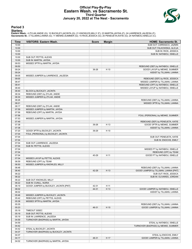#### **Official Play-By-Play Eastern Wash. vs Sacramento St. Third Quarter January 20, 2022 at The Nest - Sacramento**



#### **Period 3**

#### **Starters:**

Eastern Wash.: 4 ZYLAK,ANDIE (G); 10 BUCKLEY,JACINTA (G); 21 KNOWLES,MILLY (F); 23 MARTIN,JAYDIA (F); 24 LAWRENCE,JALEESA (F);<br>**Sacramento St.**: 3 TILLMAN,LIANNA (G); 11 MENKE,SUMMER (G); 15 RIOS,JESSICA (G); 20 PENEUETA,K

| Time           | <b>VISITORS: Eastern Wash.</b>                                      | <b>Score</b> | <b>Margin</b> | <b>HOME: Sacramento St.</b>                                     |
|----------------|---------------------------------------------------------------------|--------------|---------------|-----------------------------------------------------------------|
| 10:00          |                                                                     |              |               | SUB OUT: CARRASCO, JAZMIN                                       |
| 10:00          |                                                                     |              |               | SUB OUT: FALKOWSKA, ALICJA                                      |
| 10:00          |                                                                     |              |               | SUB IN: RIOS, JESSICA                                           |
| 10:00          |                                                                     |              |               | SUB IN: NATABOU, ISNELLE                                        |
| 10:00          | SUB OUT: PETTIS, ALEXIS                                             |              |               |                                                                 |
| 10:00          | SUB IN: MARTIN, JAYDIA                                              |              |               |                                                                 |
| 09:53<br>09:50 | MISSED 3PTR by MARTIN, JAYDIA                                       |              |               | REBOUND (DEF) by NATABOU, ISNELLE                               |
| 09:24          |                                                                     | 36-26        | H 10          | GOOD! LAYUP by MENKE, SUMMER                                    |
| 09:24          |                                                                     |              |               | ASSIST by TILLMAN, LIANNA                                       |
| 09:05          | MISSED JUMPER by LAWRENCE, JALEESA                                  |              |               |                                                                 |
| 09:00          |                                                                     |              |               | REBOUND (DEF) by RIOS, JESSICA                                  |
| 08:47          |                                                                     |              |               | MISSED JUMPER by TILLMAN, LIANNA                                |
| 08:41          |                                                                     |              |               | REBOUND (OFF) by NATABOU, ISNELLE                               |
| 08:40          |                                                                     |              |               | MISSED LAYUP by NATABOU, ISNELLE                                |
| 08:40          | BLOCK by BUCKLEY, JACINTA                                           |              |               |                                                                 |
| 08:34          | REBOUND (DEF) by ZYLAK, ANDIE                                       |              |               |                                                                 |
| 08:30          | MISSED JUMPER by ZYLAK, ANDIE                                       |              |               |                                                                 |
| 08:26          |                                                                     |              |               | REBOUND (DEF) by TILLMAN, LIANNA                                |
| 08:21          |                                                                     |              |               | MISSED 3PTR by TILLMAN, LIANNA                                  |
| 08:17          | REBOUND (DEF) by ZYLAK, ANDIE                                       |              |               |                                                                 |
| 07:59          | MISSED JUMPER by MARTIN, JAYDIA                                     |              |               |                                                                 |
| 07:56          | REBOUND (OFF) by MARTIN, JAYDIA                                     |              |               |                                                                 |
| 07:56          |                                                                     |              |               | FOUL (PERSONAL) by MENKE, SUMMER                                |
| 07:53<br>07:49 | MISSED JUMPER by MARTIN, JAYDIA                                     |              |               |                                                                 |
| 07:38          |                                                                     | 39-26        | H 13          | REBOUND (DEF) by PENEUETA, KATIE<br>GOOD! 3PTR by MENKE, SUMMER |
| 07:38          |                                                                     |              |               | ASSIST by TILLMAN, LIANNA                                       |
| 07:20          | GOOD! 3PTR by BUCKLEY, JACINTA                                      | 39-29        | H 10          |                                                                 |
| 07:04          | FOUL (PERSONAL) by BUCKLEY, JACINTA                                 |              |               |                                                                 |
| 07:04          |                                                                     |              |               | SUB OUT: PENEUETA, KATIE                                        |
| 07:04          |                                                                     |              |               | SUB IN: ENOCHS, EMILY                                           |
| 07:04          | SUB OUT: LAWRENCE, JALEESA                                          |              |               |                                                                 |
| 07:04          | SUB IN: PETTIS, ALEXIS                                              |              |               |                                                                 |
| 07:04          |                                                                     |              |               | MISSED FT by NATABOU, ISNELLE                                   |
| 07:04          |                                                                     |              |               | REBOUND (OFF) by TEAM                                           |
| 07:04          |                                                                     | 40-29        | H 11          | GOOD! FT by NATABOU, ISNELLE                                    |
| 07:04          | MISSED LAYUP by PETTIS, ALEXIS                                      |              |               |                                                                 |
| 06:59          | REBOUND (OFF) by TEAM                                               |              |               |                                                                 |
| 06:50          | MISSED JUMPER by KNOWLES, MILLY                                     |              |               |                                                                 |
| 06:48          |                                                                     |              |               | REBOUND (DEF) by TILLMAN, LIANNA                                |
| 06:40<br>06:22 |                                                                     | 42-29        | H 13          | GOOD! JUMPER by TILLMAN, LIANNA [PNT]                           |
| 06:22          |                                                                     |              |               | SUB OUT: RIOS, JESSICA<br>SUB IN: OLIVARES, JORDAN              |
| 06:22          | SUB OUT: KNOWLES, MILLY                                             |              |               |                                                                 |
| 06:22          | SUB IN: CUNILL, NURIA                                               |              |               |                                                                 |
| 06:19          | GOOD! JUMPER by BUCKLEY, JACINTA [PNT]                              | 42-31        | H 11          |                                                                 |
| 06:02          |                                                                     | 44-31        | H 13          | GOOD! JUMPER by NATABOU, ISNELLE                                |
| 06:02          |                                                                     |              |               | ASSIST by TILLMAN, LIANNA                                       |
| 05:46          | MISSED JUMPER by BUCKLEY, JACINTA                                   |              |               |                                                                 |
| 05:42          | REBOUND (OFF) by PETTIS, ALEXIS                                     |              |               |                                                                 |
| 05:38          | MISSED 3PTR by MARTIN, JAYDIA                                       |              |               |                                                                 |
| 05:35          |                                                                     |              |               | REBOUND (DEF) by TILLMAN, LIANNA                                |
| 05:23          |                                                                     | 46-31        | H 15          | GOOD! JUMPER by TILLMAN, LIANNA                                 |
| 05:19          | TIMEOUT 30SEC                                                       |              |               |                                                                 |
| 05:19          | SUB OUT: PETTIS, ALEXIS                                             |              |               |                                                                 |
| 05:19          | SUB IN: LAWRENCE, JALEESA                                           |              |               |                                                                 |
| 04:59          | TURNOVER (BADPASS) by MARTIN, JAYDIA                                |              |               |                                                                 |
| 04:59          |                                                                     |              |               | STEAL by NATABOU, ISNELLE                                       |
| 04:42          |                                                                     |              |               | TURNOVER (BADPASS) by MENKE, SUMMER                             |
| 04:42<br>04:37 | STEAL by BUCKLEY, JACINTA<br>TURNOVER (BADPASS) by BUCKLEY, JACINTA |              |               |                                                                 |
| 04:37          |                                                                     |              |               | STEAL by ENOCHS, EMILY                                          |
| 04:17          |                                                                     | 48-31        | H 17          | GOOD! JUMPER by TILLMAN, LIANNA                                 |
| 04:02          | TURNOVER (BADPASS) by MARTIN, JAYDIA                                |              |               |                                                                 |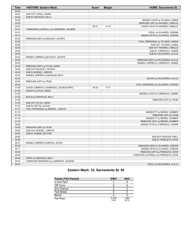| Time  | <b>VISITORS: Eastern Wash.</b>           | <b>Score</b> | <b>Margin</b> | <b>HOME: Sacramento St.</b>            |
|-------|------------------------------------------|--------------|---------------|----------------------------------------|
| 04:02 |                                          |              |               |                                        |
| 04:02 | SUB OUT: CUNILL, NURIA                   |              |               |                                        |
| 04:02 | SUB IN: KNOWLES, MILLY                   |              |               |                                        |
| 03:38 |                                          |              |               | MISSED LAYUP by TILLMAN, LIANNA        |
| 03:34 |                                          |              |               | REBOUND (OFF) by NATABOU, ISNELLE      |
| 03:33 |                                          | 50-31        | H 19          | GOOD! LAYUP by NATABOU, ISNELLE        |
| 03:21 | TURNOVER (LOSTBALL) by LAWRENCE, JALEESA |              |               |                                        |
| 03:21 |                                          |              |               | STEAL by OLIVARES, JORDAN              |
| 03:12 |                                          |              |               | MISSED 3PTR by OLIVARES, JORDAN        |
| 03:08 | REBOUND (DEF) by BUCKLEY, JACINTA        |              |               |                                        |
| 02:56 |                                          |              |               | FOUL (PERSONAL) by TILLMAN, LIANNA     |
| 02:56 |                                          |              |               | SUB OUT: TILLMAN, LIANNA               |
| 02:56 |                                          |              |               | SUB OUT: NATABOU, ISNELLE              |
| 02:56 |                                          |              |               | SUB IN: CARRASCO, JAZMIN               |
| 02:56 |                                          |              |               | SUB IN: FALKOWSKA, ALICJA              |
| 02:52 | MISSED JUMPER by BUCKLEY, JACINTA        |              |               |                                        |
| 02:49 |                                          |              |               | REBOUND (DEF) by FALKOWSKA, ALICJA     |
| 02:24 |                                          |              |               | MISSED JUMPER by CARRASCO, JAZMIN      |
| 02:20 | REBOUND (DEF) by ZYLAK, ANDIE            |              |               |                                        |
| 02:06 | SUB OUT: BUCKLEY, JACINTA                |              |               |                                        |
| 02:06 | SUB IN: BOESEL, JORDYN                   |              |               |                                        |
| 02:00 | MISSED JUMPER by KNOWLES, MILLY          |              |               |                                        |
| 02:00 |                                          |              |               | BLOCK by FALKOWSKA, ALICJA             |
| 02:00 | REBOUND (OFF) by TEAM                    |              |               |                                        |
| 02:00 |                                          |              |               | FOUL (PERSONAL) by OLIVARES, JORDAN    |
| 01:58 | GOOD! JUMPER by LAWRENCE, JALEESA [PNT]  | 50-33        | H 17          |                                        |
| 01:58 | ASSIST by ZYLAK, ANDIE                   |              |               |                                        |
| 01:25 |                                          |              |               | MISSED LAYUP by CARRASCO, JAZMIN       |
| 01:25 | BLOCK by KNOWLES, MILLY                  |              |               |                                        |
| 01:25 |                                          |              |               | REBOUND (OFF) by TEAM                  |
| 01:25 | SUB OUT: ZYLAK, ANDIE                    |              |               |                                        |
| 01:25 | SUB IN: PETTIS, ALEXIS                   |              |               |                                        |
| 01:21 | FOUL (PERSONAL) by BOESEL, JORDYN        |              |               |                                        |
| 01:18 |                                          |              |               | MISSED FT by MENKE, SUMMER             |
| 01:18 |                                          |              |               | REBOUND (OFF) by TEAM                  |
| 01:18 |                                          |              |               | MISSED FT by MENKE, SUMMER             |
| 01:18 |                                          |              |               | REBOUND (OFF) by MENKE, SUMMER         |
| 00:58 |                                          |              |               | MISSED 3PTR by CARRASCO, JAZMIN        |
| 00:56 | REBOUND (DEF) by TEAM                    |              |               |                                        |
| 00:56 | SUB OUT: BOESEL, JORDYN                  |              |               |                                        |
| 00:56 | SUB IN: WARNS, DEVYNN                    |              |               |                                        |
| 00:56 |                                          |              |               | SUB OUT: ENOCHS, EMILY                 |
| 00:56 |                                          |              |               | SUB IN: PENEUETA, KATIE                |
| 00:41 | MISSED JUMPER by MARTIN, JAYDIA          |              |               |                                        |
| 00:36 |                                          |              |               | REBOUND (DEF) by OLIVARES, JORDAN      |
| 00:17 |                                          |              |               | MISSED 3PTR by OLIVARES, JORDAN        |
| 00:09 |                                          |              |               | REBOUND (OFF) by PENEUETA, KATIE       |
| 00:08 |                                          |              |               | TURNOVER (LOSTBALL) by PENEUETA, KATIE |
| 00:08 | STEAL by KNOWLES, MILLY                  |              |               |                                        |
| 00:04 | TURNOVER (BADPASS) by LAWRENCE, JALEESA  |              |               |                                        |
| 00:04 |                                          |              |               | STEAL by FALKOWSKA, ALICJA             |

# **Eastern Wash. 33, Sacramento St. 50**

| <b>Points (This Period)</b> | <b>EWU</b>    | <b>SAC</b>    |
|-----------------------------|---------------|---------------|
| In the Paint                |               |               |
| Off Turns                   |               |               |
| 2nd Chance                  |               |               |
| <b>Fast Break</b>           |               |               |
| Bench                       |               |               |
| Per Poss                    | 0.438<br>3/16 | 1.067<br>8/15 |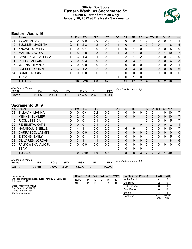#### **Official Box Score Eastern Wash. vs Sacramento St. Fourth Quarter Statistics Only January 20, 2022 at The Nest - Sacramento**



# **Eastern Wash. 16**

| No.               | Plaver                  | S  | Pts | <b>FG</b> | 3FG     | <b>FT</b> | <b>OR</b>     | <b>DR</b> | TR | PF | A            | <b>TO</b>    | <b>Blk</b> | Stl           | Min | $+/-$        |
|-------------------|-------------------------|----|-----|-----------|---------|-----------|---------------|-----------|----|----|--------------|--------------|------------|---------------|-----|--------------|
| 04                | ZYLAK, ANDIE            | G  | 0   | $0 - 0$   | $0 - 0$ | $0 - 0$   | 0             | 0         | 0  |    | 0            |              | 0          | 0             | 4   | $-1$         |
| 10                | <b>BUCKLEY, JACINTA</b> | G  | 5   | $2 - 3$   | $1 - 2$ | $0-0$     | 1             | 0         | 1  | 3  | $\mathbf{0}$ | $\Omega$     | 0          |               | 8   | 5            |
| 21                | <b>KNOWLES, MILLY</b>   | F  | 0   | $0 - 1$   | $0 - 0$ | $0 - 0$   | 1.            | 0         | 1  | 0  | 1            | 2            | 0          | 0             | 5   | $\mathbf{0}$ |
| 23                | MARTIN, JAYDIA          | F. | 5   | $2 - 8$   | $1 - 3$ | $0 - 0$   | 1             | 3         | 4  | 0  |              | $\Omega$     | $\Omega$   |               | 10  | 7            |
| 24                | LAWRENCE, JALEESA       | F  | 3   | $1 - 3$   | $1 - 1$ | $0-0$     | $\mathcal{P}$ | 2         | 4  | 2  |              | 0            | 0          | 0             | 7   | 9            |
| 01                | PETTIS, ALEXIS          | G  | 0   | $0 - 3$   | $0-0$   | $0 - 0$   | $\Omega$      | 3         | 3  |    |              | 0            | $\Omega$   | 0             | 6   | 8            |
| 05                | <b>WARNS, DEVYNN</b>    | G  | U   | $0 - 0$   | $0-0$   | $0 - 0$   | 0             | 0         | 0  | 0  | 0            | <sup>0</sup> | 0          | 0             | 2   | 1            |
| $12 \overline{ }$ | BOESEL, JORDYN          | G  | 3   | $1 - 2$   | $1 - 2$ | $0 - 0$   | $\Omega$      | 3         | 3  | 0  | $\mathbf{0}$ | 0            | 0          | 0             | 8   | 6            |
| 14                | <b>CUNILL, NURIA</b>    | F  | O   | $0 - 0$   | $0-0$   | $0 - 0$   | 0             | 0         | 0  | 0  | 0            | 0            | 0          | 0             | 0   | $\mathbf{0}$ |
|                   | TEAM                    |    |     |           |         |           |               | $\Omega$  | 1  | 0  |              | 0            |            |               |     |              |
|                   | <b>TOTALS</b>           |    | 16  | $6 - 20$  | $4 - 8$ | $0 - 0$   | 6             | 11        | 17 | 7  | 4            | 3            | 0          | $\mathcal{P}$ | 50  |              |

| <b>Shooting By Period</b><br>Period | FG    | FG%   | 3FG      | 3FG%  |         | FT%      | Deadball Rebounds: 1,1 |
|-------------------------------------|-------|-------|----------|-------|---------|----------|------------------------|
| Game                                | 19-65 | 29.2% | $9 - 19$ | 47.4% | $2 - 4$ | $50.0\%$ |                        |

# **Sacramento St. 9**

| No. | Plaver               | S | Pts      | <b>FG</b> | 3FG     | <b>FT</b> | 0R           | DR       | TR           | PF | A            | TO       | <b>B</b> lk | Stl      | Min | $+/-$        |
|-----|----------------------|---|----------|-----------|---------|-----------|--------------|----------|--------------|----|--------------|----------|-------------|----------|-----|--------------|
| 03  | TILLMAN, LIANNA      | G | 0        | $0 - 4$   | $0 - 2$ | $0 - 2$   | 0            | 0        | 0            | 0  | 0            | 2        |             | 0        | 10  | $-7$         |
| 11  | <b>MENKE, SUMMER</b> | G | 2        | $0 - 1$   | $0 - 0$ | $2 - 4$   | $\mathbf{0}$ | 0        | 0            |    | 0            | 0        | 0           | $\Omega$ | 10  | $-7$         |
| 15  | RIOS, JESSICA        | G | 0        | $0 - 1$   | $0 - 1$ | $0 - 0$   | 0            |          | 1            |    | 0            | $\Omega$ | 0           | 0        | 5   | $-7$         |
| 20  | PENEUETA, KATIE      | G | 0        | $0 - 1$   | $0 - 1$ | $0-0$     | 0            |          | 1            | 0  |              | $\Omega$ | 0           | $\Omega$ | 2   | $-1$         |
| 24  | NATABOU, ISNELLE     | С | 4        | 1-1       | $0 - 0$ | $2 - 2$   | 0            | 6        | 6            |    | 0            | 0        | 0           | 0        | 10  | $-7$         |
| 04  | CARRASCO, JAZMIN     | G | $\Omega$ | $0 - 0$   | $0 - 0$ | $0 - 0$   | $\Omega$     | 0        | 0            | 0  | $\mathbf{0}$ | $\Omega$ | $\Omega$    | $\Omega$ | 0   | $\mathbf{0}$ |
| 12  | <b>ENOCHS, EMILY</b> | G | 0        | $0 - 1$   | $0 - 1$ | $0 - 0$   | $\mathbf{0}$ | 0        | 0            | 0  |              | 0        | 0           | 0        | 5   | $\mathbf{0}$ |
| 23  | OLIVARES, JORDAN     | G | 3        | $1 - 1$   | $1 - 1$ | $0 - 0$   | $\Omega$     | $\Omega$ | $\mathbf{0}$ | 0  | $\Omega$     | $\Omega$ |             |          | 8   | $-6$         |
| 25  | FALKOWSKA, ALICJA    | С | O        | $0-0$     | $0-0$   | $0-0$     | 0            | 0        | 0            | 0  | 0            | 0        | 0           | 0        | 0   | $\mathbf 0$  |
|     | TEAM                 |   |          |           |         |           | 0            | 0        | 0            | 0  |              | 0        |             |          |     |              |
|     | <b>TOTALS</b>        |   | 9        | $2 - 10$  | $1 - 6$ | $4 - 8$   | $\Omega$     | 8        | 8            | 3  | 2            | 2        | 2           | 1        | 50  |              |
|     | Chastine Du Devisel  |   |          |           |         |           |              |          |              |    |              |          |             |          |     |              |

| Shooting By Period<br>Period | FG        | FG%   | 3FG      | 3FG%  |      | FT%   |
|------------------------------|-----------|-------|----------|-------|------|-------|
| Game                         | $22 - 55$ | 40.0% | $8 - 24$ | 33.3% | 7-14 | 50.0% |

*Deadball Rebounds:* 4,1

Per Poss

0.941<br>6/17

0.600 4/15

| Game Notes:                                                               | <b>Score</b> | 1st l | 2nd | 3rd | 4th | <b>TOT</b> | <b>Points (This Period)</b> | <b>EWU SAC</b> |  |
|---------------------------------------------------------------------------|--------------|-------|-----|-----|-----|------------|-----------------------------|----------------|--|
| Officials: InFini Robinson, Tyler Trimble, McCall Judd<br>Attendance: 158 | EWU          | 14    |     |     | 16  | -49        | In the Paint                |                |  |
|                                                                           | <b>SAC</b>   | 16    | 18  | 16  |     | 59         | Off Turns                   |                |  |
| Start Time: 10:00 PM ET                                                   |              |       |     |     |     |            | 2nd Chance                  |                |  |
| End Time: 11:35 PM ET<br>Game Duration: 1:34                              |              |       |     |     |     |            | <b>Fast Break</b>           |                |  |
| Conference Game;                                                          |              |       |     |     |     |            | Bench                       |                |  |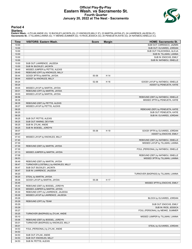#### **Official Play-By-Play Eastern Wash. vs Sacramento St. Fourth Quarter January 20, 2022 at The Nest - Sacramento**



#### **Period 4**

#### **Starters:**

Eastern Wash.: 4 ZYLAK,ANDIE (G); 10 BUCKLEY,JACINTA (G); 21 KNOWLES,MILLY (F); 23 MARTIN,JAYDIA (F); 24 LAWRENCE,JALEESA (F);<br>**Sacramento St.**: 3 TILLMAN,LIANNA (G); 11 MENKE,SUMMER (G); 15 RIOS,JESSICA (G); 20 PENEUETA,K

| Time           | <b>VISITORS: Eastern Wash.</b>                                           | <b>Score</b> | <b>Margin</b> | <b>HOME: Sacramento St.</b>           |
|----------------|--------------------------------------------------------------------------|--------------|---------------|---------------------------------------|
| 10:00          |                                                                          |              |               | SUB OUT: CARRASCO, JAZMIN             |
| 10:00          |                                                                          |              |               | SUB OUT: OLIVARES, JORDAN             |
| 10:00          |                                                                          |              |               | SUB OUT: FALKOWSKA, ALICJA            |
| 10:00          |                                                                          |              |               | SUB IN: TILLMAN, LIANNA               |
| 10:00          |                                                                          |              |               | SUB IN: ENOCHS, EMILY                 |
| 10:00          |                                                                          |              |               | SUB IN: NATABOU, ISNELLE              |
| 10:00          | SUB OUT: LAWRENCE, JALEESA                                               |              |               |                                       |
| 10:00          | SUB IN: BUCKLEY, JACINTA                                                 |              |               |                                       |
| 09:49          | MISSED JUMPER by PETTIS, ALEXIS                                          |              |               |                                       |
| 09:45          | REBOUND (OFF) by KNOWLES, MILLY                                          |              |               |                                       |
| 09:44          | GOOD! 3PTR by MARTIN, JAYDIA                                             | 50-36        | H 14          |                                       |
| 09:44          | ASSIST by KNOWLES, MILLY                                                 |              |               |                                       |
| 09:24          |                                                                          | 52-36        | H 16          | GOOD! LAYUP by NATABOU, ISNELLE       |
| 09:24          |                                                                          |              |               | ASSIST by PENEUETA, KATIE             |
| 09:05          | MISSED LAYUP by MARTIN, JAYDIA                                           |              |               |                                       |
| 09:01          | REBOUND (OFF) by MARTIN, JAYDIA                                          |              |               |                                       |
| 09:00          | MISSED LAYUP by MARTIN, JAYDIA                                           |              |               |                                       |
| 08:56          |                                                                          |              |               | REBOUND (DEF) by NATABOU, ISNELLE     |
| 08:38          |                                                                          |              |               | MISSED 3PTR by PENEUETA, KATIE        |
| 08:35          | REBOUND (DEF) by PETTIS, ALEXIS                                          |              |               |                                       |
| 08:27          | MISSED LAYUP by PETTIS, ALEXIS                                           |              |               |                                       |
| 08:25          |                                                                          |              |               | REBOUND (DEF) by PENEUETA, KATIE      |
| 08:25          |                                                                          |              |               | SUB OUT: PENEUETA, KATIE              |
| 08:25          |                                                                          |              |               | SUB IN: OLIVARES, JORDAN              |
| 08:25          | SUB OUT: PETTIS, ALEXIS                                                  |              |               |                                       |
| 08:25          | SUB OUT: WARNS, DEVYNN                                                   |              |               |                                       |
| 08:25          | SUB IN: ZYLAK, ANDIE                                                     |              |               |                                       |
| 08:25          | SUB IN: BOESEL, JORDYN                                                   |              |               |                                       |
| 08:07          |                                                                          | 55-36        | H 19          | GOOD! 3PTR by OLIVARES, JORDAN        |
| 08:07          |                                                                          |              |               | ASSIST by ENOCHS, EMILY               |
| 07:43          | MISSED LAYUP by KNOWLES, MILLY                                           |              |               |                                       |
| 07:40          |                                                                          |              |               | REBOUND (DEF) by NATABOU, ISNELLE     |
| 07:30          |                                                                          |              |               | MISSED LAYUP by TILLMAN, LIANNA       |
| 07:30          | REBOUND (DEF) by MARTIN, JAYDIA                                          |              |               |                                       |
| 07:30          |                                                                          |              |               | FOUL (PERSONAL) by NATABOU, ISNELLE   |
| 07:13          | MISSED JUMPER by MARTIN, JAYDIA                                          |              |               |                                       |
| 07:08          |                                                                          |              |               | REBOUND (DEF) by NATABOU, ISNELLE     |
| 06:53          |                                                                          |              |               | MISSED 3PTR by TILLMAN, LIANNA        |
| 06:49<br>06:47 | REBOUND (DEF) by MARTIN, JAYDIA<br>TURNOVER (LOSTBALL) by KNOWLES, MILLY |              |               |                                       |
| 06:47          |                                                                          |              |               |                                       |
| 06:47          | SUB OUT: BUCKLEY, JACINTA<br>SUB IN: LAWRENCE, JALEESA                   |              |               |                                       |
| 06:20          |                                                                          |              |               | TURNOVER (BADPASS) by TILLMAN, LIANNA |
| 06:20          | STEAL by MARTIN, JAYDIA                                                  |              |               |                                       |
| 06:08          | GOOD! LAYUP by MARTIN, JAYDIA                                            | 55-38        | H 17          |                                       |
| 05:45          |                                                                          |              |               | MISSED 3PTR by ENOCHS, EMILY          |
| 05:40          | REBOUND (DEF) by BOESEL, JORDYN                                          |              |               |                                       |
| 05:35          | MISSED JUMPER by MARTIN, JAYDIA                                          |              |               |                                       |
| 05:30          | REBOUND (OFF) by LAWRENCE, JALEESA                                       |              |               |                                       |
| 05:29          | MISSED LAYUP by LAWRENCE, JALEESA                                        |              |               |                                       |
| 05:29          |                                                                          |              |               | BLOCK by OLIVARES, JORDAN             |
| 05:29          | REBOUND (OFF) by TEAM                                                    |              |               |                                       |
| 05:29          |                                                                          |              |               | SUB OUT: ENOCHS, EMILY                |
| 05:29          |                                                                          |              |               | SUB IN: RIOS, JESSICA                 |
| 05:27          |                                                                          |              |               | FOUL (PERSONAL) by MENKE, SUMMER      |
| 05:25          | TURNOVER (BADPASS) by ZYLAK, ANDIE                                       |              |               |                                       |
| 05:10          |                                                                          |              |               | MISSED JUMPER by TILLMAN, LIANNA      |
| 05:06          | REBOUND (DEF) by BOESEL, JORDYN                                          |              |               |                                       |
| 05:01          | TURNOVER (BADPASS) by KNOWLES, MILLY                                     |              |               |                                       |
| 05:01          |                                                                          |              |               | STEAL by OLIVARES, JORDAN             |
| 04:53          | FOUL (PERSONAL) by ZYLAK, ANDIE                                          |              |               |                                       |
| 04:53          |                                                                          |              |               |                                       |
| 04:53          | SUB OUT: ZYLAK, ANDIE                                                    |              |               |                                       |
| 04:53          | SUB OUT: KNOWLES, MILLY                                                  |              |               |                                       |
| 04:53          | SUB IN: PETTIS, ALEXIS                                                   |              |               |                                       |
|                |                                                                          |              |               |                                       |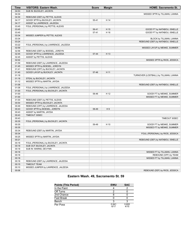| Time  | <b>VISITORS: Eastern Wash.</b>       | <b>Score</b> | <b>Margin</b> | <b>HOME: Sacramento St.</b>            |
|-------|--------------------------------------|--------------|---------------|----------------------------------------|
| 04:53 | SUB IN: BUCKLEY, JACINTA             |              |               |                                        |
| 04:34 |                                      |              |               | MISSED 3PTR by TILLMAN, LIANNA         |
| 04:30 | REBOUND (DEF) by PETTIS, ALEXIS      |              |               |                                        |
| 04:17 | GOOD! 3PTR by BUCKLEY, JACINTA       | 55-41        | H 14          |                                        |
| 04:17 | ASSIST by LAWRENCE, JALEESA          |              |               |                                        |
| 03:45 | FOUL (PERSONAL) by PETTIS, ALEXIS    |              |               |                                        |
| 03:45 |                                      | 56-41        | H 15          | GOOD! FT by NATABOU, ISNELLE           |
| 03:45 |                                      | 57-41        | H 16          | GOOD! FT by NATABOU, ISNELLE           |
| 03:34 | MISSED JUMPER by PETTIS, ALEXIS      |              |               |                                        |
| 03:34 |                                      |              |               | BLOCK by TILLMAN, LIANNA               |
| 03:24 |                                      |              |               | REBOUND (DEF) by NATABOU, ISNELLE      |
| 03:22 | FOUL (PERSONAL) by LAWRENCE, JALEESA |              |               |                                        |
| 02:59 |                                      |              |               | MISSED LAYUP by MENKE, SUMMER          |
| 02:56 | REBOUND (DEF) by BOESEL, JORDYN      |              |               |                                        |
| 02:45 | GOOD! 3PTR by LAWRENCE, JALEESA      | 57-44        | H 13          |                                        |
| 02:45 | ASSIST by PETTIS, ALEXIS             |              |               |                                        |
| 02:02 |                                      |              |               | MISSED 3PTR by RIOS, JESSICA           |
| 01:59 | REBOUND (DEF) by LAWRENCE, JALEESA   |              |               |                                        |
| 01:45 | MISSED 3PTR by BOESEL, JORDYN        |              |               |                                        |
| 01:41 | REBOUND (OFF) by BUCKLEY, JACINTA    |              |               |                                        |
| 01:40 | GOOD! LAYUP by BUCKLEY, JACINTA      | 57-46        | H 11          |                                        |
| 01:18 |                                      |              |               | TURNOVER (LOSTBALL) by TILLMAN, LIANNA |
| 01:18 | STEAL by BUCKLEY, JACINTA            |              |               |                                        |
| 01:12 | MISSED 3PTR by MARTIN, JAYDIA        |              |               |                                        |
| 01:08 |                                      |              |               | REBOUND (DEF) by NATABOU, ISNELLE      |
| 01:08 | FOUL (PERSONAL) by LAWRENCE, JALEESA |              |               |                                        |
| 01:00 | FOUL (PERSONAL) by BUCKLEY, JACINTA  |              |               |                                        |
| 01:00 |                                      | 58-46        | H 12          | GOOD! FT by MENKE, SUMMER              |
| 01:00 |                                      |              |               | MISSED FT by MENKE, SUMMER             |
| 01:00 | REBOUND (DEF) by PETTIS, ALEXIS      |              |               |                                        |
| 00:54 | MISSED 3PTR by BUCKLEY, JACINTA      |              |               |                                        |
| 00:49 | REBOUND (OFF) by LAWRENCE, JALEESA   |              |               |                                        |
| 00:43 | GOOD! 3PTR by BOESEL, JORDYN         | 58-49        | H9            |                                        |
| 00:43 | ASSIST by MARTIN, JAYDIA             |              |               |                                        |
| 00:43 | TIMEOUT 30SEC                        |              |               |                                        |
| 00:43 |                                      |              |               | TIMEOUT 30SEC                          |
| 00:35 | FOUL (PERSONAL) by BUCKLEY, JACINTA  |              |               |                                        |
| 00:35 |                                      | 59-49        | H 10          | GOOD! FT by MENKE, SUMMER              |
| 00:35 |                                      |              |               | MISSED FT by MENKE, SUMMER             |
| 00:34 | REBOUND (DEF) by MARTIN, JAYDIA      |              |               |                                        |
| 00:34 |                                      |              |               | FOUL (PERSONAL) by RIOS, JESSICA       |
| 00:25 | MISSED 3PTR by MARTIN, JAYDIA        |              |               |                                        |
| 00:21 |                                      |              |               | REBOUND (DEF) by NATABOU, ISNELLE      |
| 00:18 | FOUL (PERSONAL) by BUCKLEY, JACINTA  |              |               |                                        |
| 00:18 | SUB OUT: BUCKLEY, JACINTA            |              |               |                                        |
| 00:18 | SUB IN: WARNS, DEVYNN                |              |               |                                        |
| 00:18 |                                      |              |               | MISSED FT by TILLMAN, LIANNA           |
| 00:18 |                                      |              |               | REBOUND (OFF) by TEAM                  |
| 00:18 |                                      |              |               | MISSED FT by TILLMAN, LIANNA           |
| 00:18 | REBOUND (DEF) by LAWRENCE, JALEESA   |              |               |                                        |
| 00:15 | <b>TIMEOUT TEAM</b>                  |              |               |                                        |
| 00:10 | MISSED JUMPER by LAWRENCE, JALEESA   |              |               |                                        |
| 00:06 |                                      |              |               | REBOUND (DEF) by RIOS, JESSICA         |

# **Eastern Wash. 49, Sacramento St. 59**

| <b>Points (This Period)</b> | <b>EWU</b>    | <b>SAC</b>    |
|-----------------------------|---------------|---------------|
| In the Paint                |               |               |
| Off Turns                   |               |               |
| 2nd Chance                  |               |               |
| <b>Fast Break</b>           |               |               |
| Bench                       |               |               |
| Per Poss                    | 0.941<br>6/17 | 0.600<br>4/15 |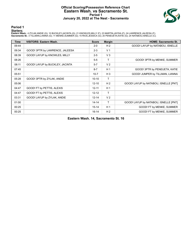#### **Official Scoring/Possession Reference Chart Eastern Wash. vs Sacramento St. Period 1 January 20, 2022 at The Nest - Sacramento**



**Period 1**

#### **Starters:**

Eastern Wash.: 4 ZYLAK,ANDIE (G); 10 BUCKLEY,JACINTA (G); 21 KNOWLES,MILLY (F); 23 MARTIN,JAYDIA (F); 24 LAWRENCE,JALEESA (F);<br>**Sacramento St.**: 3 TILLMAN,LIANNA (G); 11 MENKE,SUMMER (G); 15 RIOS,JESSICA (G); 20 PENEUETA,K

| Time  | <b>VISITORS: Eastern Wash.</b>  | <b>Score</b> | <b>Margin</b>  | <b>HOME: Sacramento St.</b>           |
|-------|---------------------------------|--------------|----------------|---------------------------------------|
| 09:44 |                                 | $2 - 0$      | H <sub>2</sub> | GOOD! LAYUP by NATABOU, ISNELLE       |
| 09:34 | GOOD! 3PTR by LAWRENCE, JALEESA | $2 - 3$      | V <sub>1</sub> |                                       |
| 08:39 | GOOD! LAYUP by KNOWLES, MILLY   | $2 - 5$      | $V_3$          |                                       |
| 08:26 |                                 | $5-5$        | T              | GOOD! 3PTR by MENKE, SUMMER           |
| 08:11 | GOOD! LAYUP by BUCKLEY, JACINTA | $5 - 7$      | V <sub>2</sub> |                                       |
| 07:45 |                                 | $8 - 7$      | H <sub>1</sub> | GOOD! 3PTR by PENEUETA, KATIE         |
| 05:51 |                                 | $10 - 7$     | $H_3$          | GOOD! JUMPER by TILLMAN, LIANNA       |
| 05:28 | GOOD! 3PTR by ZYLAK, ANDIE      | $10 - 10$    | T              |                                       |
| 05:06 |                                 | $12 - 10$    | H <sub>2</sub> | GOOD! LAYUP by NATABOU, ISNELLE [PNT] |
| 04:47 | GOOD! FT by PETTIS, ALEXIS      | $12 - 11$    | H <sub>1</sub> |                                       |
| 04:47 | GOOD! FT by PETTIS, ALEXIS      | $12 - 12$    | T              |                                       |
| 03:31 | GOOD! LAYUP by ZYLAK, ANDIE     | $12 - 14$    | V <sub>2</sub> |                                       |
| 01:00 |                                 | $14 - 14$    | T              | GOOD! LAYUP by NATABOU, ISNELLE [PNT] |
| 00:25 |                                 | $15 - 14$    | H <sub>1</sub> | GOOD! FT by MENKE, SUMMER             |
| 00:25 |                                 | $16-14$      | H <sub>2</sub> | GOOD! FT by MENKE, SUMMER             |

**Eastern Wash. 14, Sacramento St. 16**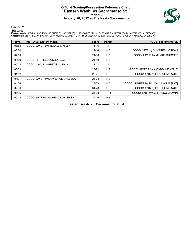#### **Official Scoring/Possession Reference Chart Eastern Wash. vs Sacramento St. Period 2 January 20, 2022 at The Nest - Sacramento**



**Period 2**

#### **Starters:**

Eastern Wash.: 4 ZYLAK,ANDIE (G); 10 BUCKLEY,JACINTA (G); 21 KNOWLES,MILLY (F); 23 MARTIN,JAYDIA (F); 24 LAWRENCE,JALEESA (F);<br>**Sacramento St.**: 3 TILLMAN,LIANNA (G); 11 MENKE,SUMMER (G); 15 RIOS,JESSICA (G); 20 PENEUETA,K

| <b>Time</b> | <b>VISITORS: Eastern Wash.</b>   | <b>Score</b> | <b>Margin</b>  | <b>HOME: Sacramento St.</b>           |
|-------------|----------------------------------|--------------|----------------|---------------------------------------|
| 08:58       | GOOD! LAYUP by KNOWLES, MILLY    | 16-16        |                |                                       |
| 08:24       |                                  | 19-16        | $H_3$          | GOOD! 3PTR by OLIVARES, JORDAN        |
| 07:50       |                                  | $21 - 16$    | H <sub>5</sub> | GOOD! LAYUP by MENKE, SUMMER          |
| 06:59       | GOOD! 3PTR by BUCKLEY, JACINTA   | $21 - 19$    | H <sub>2</sub> |                                       |
| 06:22       | GOOD! LAYUP by PETTIS, ALEXIS    | $21 - 21$    | т              |                                       |
| 05:59       |                                  | $23 - 21$    | H <sub>2</sub> | GOOD! JUMPER by NATABOU, ISNELLE      |
| 04:52       |                                  | $26 - 21$    | H <sub>5</sub> | GOOD! 3PTR by PENEUETA, KATIE         |
| 04:21       | GOOD! LAYUP by LAWRENCE, JALEESA | 26-23        | $H_3$          |                                       |
| 04:06       |                                  | 28-23        | H <sub>5</sub> | GOOD! JUMPER by TILLMAN, LIANNA [PNT] |
| 02:06       |                                  | $31 - 23$    | H 8            | GOOD! 3PTR by PENEUETA, KATIE         |
| 01:36       |                                  | 34-23        | H 11           | GOOD! 3PTR by CARRASCO, JAZMIN        |
| 00:23       | GOOD! 3PTR by LAWRENCE, JALEESA  | 34-26        | H 8            |                                       |

**Eastern Wash. 26, Sacramento St. 34**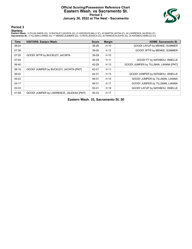#### **Official Scoring/Possession Reference Chart Eastern Wash. vs Sacramento St. Period 3 January 20, 2022 at The Nest - Sacramento**



**Period 3**

#### **Starters:**

Eastern Wash.: 4 ZYLAK,ANDIE (G); 10 BUCKLEY,JACINTA (G); 21 KNOWLES,MILLY (F); 23 MARTIN,JAYDIA (F); 24 LAWRENCE,JALEESA (F);<br>**Sacramento St.**: 3 TILLMAN,LIANNA (G); 11 MENKE,SUMMER (G); 15 RIOS,JESSICA (G); 20 PENEUETA,K

| <b>Time</b> | <b>VISITORS: Eastern Wash.</b>          | <b>Score</b> | <b>Margin</b> | <b>HOME: Sacramento St.</b>           |
|-------------|-----------------------------------------|--------------|---------------|---------------------------------------|
| 09:24       |                                         | 36-26        | H 10          | GOOD! LAYUP by MENKE, SUMMER          |
| 07:38       |                                         | 39-26        | H 13          | GOOD! 3PTR by MENKE, SUMMER           |
| 07:20       | GOOD! 3PTR by BUCKLEY, JACINTA          | 39-29        | H 10          |                                       |
| 07:04       |                                         | 40-29        | H 11          | GOOD! FT by NATABOU, ISNELLE          |
| 06:40       |                                         | 42-29        | H 13          | GOOD! JUMPER by TILLMAN, LIANNA [PNT] |
| 06:19       | GOOD! JUMPER by BUCKLEY, JACINTA [PNT]  | 42-31        | H 11          |                                       |
| 06:02       |                                         | 44-31        | H 13          | GOOD! JUMPER by NATABOU, ISNELLE      |
| 05:23       |                                         | 46-31        | H 15          | GOOD! JUMPER by TILLMAN, LIANNA       |
| 04:17       |                                         | 48-31        | H 17          | GOOD! JUMPER by TILLMAN, LIANNA       |
| 03:33       |                                         | 50-31        | H 19          | GOOD! LAYUP by NATABOU, ISNELLE       |
| 01:58       | GOOD! JUMPER by LAWRENCE, JALEESA [PNT] | 50-33        | H 17          |                                       |

**Eastern Wash. 33, Sacramento St. 50**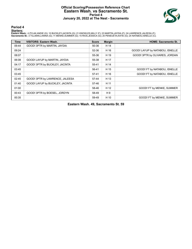#### **Official Scoring/Possession Reference Chart Eastern Wash. vs Sacramento St. Period 4 January 20, 2022 at The Nest - Sacramento**



**Period 4**

#### **Starters:**

Eastern Wash.: 4 ZYLAK,ANDIE (G); 10 BUCKLEY,JACINTA (G); 21 KNOWLES,MILLY (F); 23 MARTIN,JAYDIA (F); 24 LAWRENCE,JALEESA (F);<br>**Sacramento St.**: 3 TILLMAN,LIANNA (G); 11 MENKE,SUMMER (G); 15 RIOS,JESSICA (G); 20 PENEUETA,K

| Time  | <b>VISITORS: Eastern Wash.</b>  | <b>Score</b> | <b>Margin</b> | <b>HOME: Sacramento St.</b>     |
|-------|---------------------------------|--------------|---------------|---------------------------------|
| 09:44 | GOOD! 3PTR by MARTIN, JAYDIA    | 50-36        | H 14          |                                 |
| 09:24 |                                 | 52-36        | H 16          | GOOD! LAYUP by NATABOU, ISNELLE |
| 08:07 |                                 | 55-36        | H 19          | GOOD! 3PTR by OLIVARES, JORDAN  |
| 06:08 | GOOD! LAYUP by MARTIN, JAYDIA   | 55-38        | H 17          |                                 |
| 04:17 | GOOD! 3PTR by BUCKLEY, JACINTA  | 55-41        | H 14          |                                 |
| 03:45 |                                 | 56-41        | H 15          | GOOD! FT by NATABOU, ISNELLE    |
| 03:45 |                                 | $57-41$      | H 16          | GOOD! FT by NATABOU, ISNELLE    |
| 02:45 | GOOD! 3PTR by LAWRENCE, JALEESA | 57-44        | H 13          |                                 |
| 01:40 | GOOD! LAYUP by BUCKLEY, JACINTA | 57-46        | H 11          |                                 |
| 01:00 |                                 | 58-46        | H 12          | GOOD! FT by MENKE, SUMMER       |
| 00:43 | GOOD! 3PTR by BOESEL, JORDYN    | 58-49        | H 9           |                                 |
| 00:35 |                                 | 59-49        | H 10          | GOOD! FT by MENKE, SUMMER       |

**Eastern Wash. 49, Sacramento St. 59**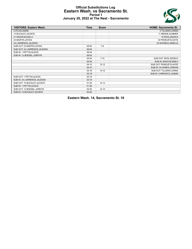#### **Official Substitutions Log Eastern Wash. vs Sacramento St. Period 1 January 20, 2022 at The Nest - Sacramento**



| <b>VISITORS: Eastern Wash.</b> | <b>Time</b> | <b>Score</b> | <b>HOME: Sacramento St.</b> |
|--------------------------------|-------------|--------------|-----------------------------|
| 4 ZYLAK, ANDIE                 |             |              | 3 TILLMAN, LIANNA           |
| 10 BUCKLEY, JACINTA            |             |              | 11 MENKE, SUMMER            |
| 21 KNOWLES, MILLY              |             |              | 15 RIOS, JESSICA            |
| 23 MARTIN, JAYDIA              |             |              | 20 PENEUETA, KATIE          |
| 24 LAWRENCE, JALEESA           |             |              | 24 NATABOU, ISNELLE         |
| SUB OUT: 23 MARTIN, JAYDIA     | 06:04       | $7 - 8$      |                             |
| SUB OUT: 24 LAWRENCE, JALEESA  | 06:04       |              |                             |
| SUB IN: 1 PETTIS, ALEXIS       | 06:04       |              |                             |
| SUB IN: 12 BOESEL, JORDYN      | 06:04       |              |                             |
|                                | 05:34       | $7 - 10$     | SUB OUT: RIOS, JESSICA      |
|                                | 05:34       |              | SUB IN: ENOCHS, EMILY       |
|                                | 04:10       | $12 - 12$    | SUB OUT: PENEUETA, KATIE    |
|                                | 04:10       |              | SUB IN: OLIVARES, JORDAN    |
|                                | 02:19       | $14 - 12$    | SUB OUT: TILLMAN, LIANNA    |
|                                | 02:19       |              | SUB IN: CARRASCO, JAZMIN    |
| SUB OUT: 1 PETTIS, ALEXIS      | 02:19       |              |                             |
| SUB IN: 24 LAWRENCE, JALEESA   | 02:19       |              |                             |
| SUB OUT: 10 BUCKLEY, JACINTA   | 01:26       | $14 - 12$    |                             |
| SUB IN: 1 PETTIS, ALEXIS       | 01:26       |              |                             |
| SUB OUT: 12 BOESEL, JORDYN     | 00:25       | $14 - 14$    |                             |
| SUB IN: 10 BUCKLEY, JACINTA    | 00:25       |              |                             |

**Eastern Wash. 14, Sacramento St. 16**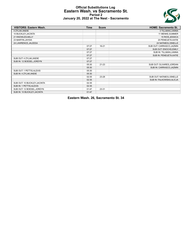#### **Official Substitutions Log Eastern Wash. vs Sacramento St. Period 2 January 20, 2022 at The Nest - Sacramento**



| <b>VISITORS: Eastern Wash.</b> | <b>Time</b> | <b>Score</b> | <b>HOME: Sacramento St.</b> |
|--------------------------------|-------------|--------------|-----------------------------|
| 4 ZYLAK, ANDIE                 |             |              | 3 TILLMAN, LIANNA           |
| 10 BUCKLEY, JACINTA            |             |              | 11 MENKE, SUMMER            |
| 21 KNOWLES, MILLY              |             |              | 15 RIOS, JESSICA            |
| 23 MARTIN, JAYDIA              |             |              | 20 PENEUETA, KATIE          |
| 24 LAWRENCE, JALEESA           |             |              | 24 NATABOU, ISNELLE         |
|                                | 07:27       | $16 - 21$    | SUB OUT: CARRASCO, JAZMIN   |
|                                | 07:27       |              | SUB OUT: ENOCHS, EMILY      |
|                                | 07:27       |              | SUB IN: TILLMAN, LIANNA     |
|                                | 07:27       |              | SUB IN: PENEUETA, KATIE     |
| SUB OUT: 4 ZYLAK, ANDIE        | 07:27       |              |                             |
| SUB IN: 12 BOESEL, JORDYN      | 07:27       |              |                             |
|                                | 05:30       | $21 - 23$    | SUB OUT: OLIVARES, JORDAN   |
|                                | 05:30       |              | SUB IN: CARRASCO, JAZMIN    |
| SUB OUT: 1 PETTIS, ALEXIS      | 05:30       |              |                             |
| SUB IN: 4 ZYLAK, ANDIE         | 05:30       |              |                             |
|                                | 02:35       | 23-28        | SUB OUT: NATABOU, ISNELLE   |
|                                | 02:35       |              | SUB IN: FALKOWSKA, ALICJA   |
| SUB OUT: 10 BUCKLEY, JACINTA   | 02:35       |              |                             |
| SUB IN: 1 PETTIS, ALEXIS       | 02:35       |              |                             |
| SUB OUT: 12 BOESEL, JORDYN     | 01:47       | 23-31        |                             |
| SUB IN: 10 BUCKLEY, JACINTA    | 01:47       |              |                             |

**Eastern Wash. 26, Sacramento St. 34**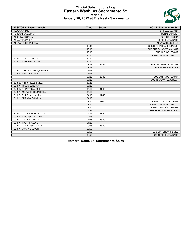#### **Official Substitutions Log Eastern Wash. vs Sacramento St. Period 3 January 20, 2022 at The Nest - Sacramento**



| <b>VISITORS: Eastern Wash.</b> | <b>Time</b> | <b>Score</b>             | <b>HOME: Sacramento St.</b> |
|--------------------------------|-------------|--------------------------|-----------------------------|
| 4 ZYLAK, ANDIE                 |             |                          | 3 TILLMAN, LIANNA           |
| 10 BUCKLEY, JACINTA            |             |                          | 11 MENKE, SUMMER            |
| 21 KNOWLES, MILLY              |             |                          | 15 RIOS, JESSICA            |
| 23 MARTIN, JAYDIA              |             |                          | 20 PENEUETA, KATIE          |
| 24 LAWRENCE, JALEESA           |             |                          | 24 NATABOU, ISNELLE         |
|                                | 10:00       | $\overline{\phantom{a}}$ | SUB OUT: CARRASCO, JAZMIN   |
|                                | 10:00       |                          | SUB OUT: FALKOWSKA, ALICJA  |
|                                | 10:00       |                          | SUB IN: RIOS, JESSICA       |
|                                | 10:00       |                          | SUB IN: NATABOU, ISNELLE    |
| SUB OUT: 1 PETTIS, ALEXIS      | 10:00       |                          |                             |
| SUB IN: 23 MARTIN, JAYDIA      | 10:00       |                          |                             |
|                                | 07:04       | 29-39                    | SUB OUT: PENEUETA, KATIE    |
|                                | 07:04       |                          | SUB IN: ENOCHS, EMILY       |
| SUB OUT: 24 LAWRENCE, JALEESA  | 07:04       |                          |                             |
| SUB IN: 1 PETTIS, ALEXIS       | 07:04       |                          |                             |
|                                | 06:22       | 29-42                    | SUB OUT: RIOS, JESSICA      |
|                                | 06:22       |                          | SUB IN: OLIVARES, JORDAN    |
| SUB OUT: 21 KNOWLES, MILLY     | 06:22       |                          |                             |
| SUB IN: 14 CUNILL, NURIA       | 06:22       |                          |                             |
| SUB OUT: 1 PETTIS, ALEXIS      | 05:19       | $31 - 46$                |                             |
| SUB IN: 24 LAWRENCE, JALEESA   | 05:19       |                          |                             |
| SUB OUT: 14 CUNILL, NURIA      | 04:02       | $31 - 48$                |                             |
| SUB IN: 21 KNOWLES, MILLY      | 04:02       |                          |                             |
|                                | 02:56       | $31 - 50$                | SUB OUT: TILLMAN, LIANNA    |
|                                | 02:56       |                          | SUB OUT: NATABOU, ISNELLE   |
|                                | 02:56       |                          | SUB IN: CARRASCO, JAZMIN    |
|                                | 02:56       |                          | SUB IN: FALKOWSKA, ALICJA   |
| SUB OUT: 10 BUCKLEY, JACINTA   | 02:06       | 31-50                    |                             |
| SUB IN: 12 BOESEL.JORDYN       | 02:06       |                          |                             |
| SUB OUT: 4 ZYLAK.ANDIE         | 01:25       | 33-50                    |                             |
| SUB IN: 1 PETTIS, ALEXIS       | 01:25       |                          |                             |
| SUB OUT: 12 BOESEL, JORDYN     | 00:56       | 33-50                    |                             |
| SUB IN: 5 WARNS, DEVYNN        | 00:56       |                          |                             |
|                                | 00:56       |                          | SUB OUT: ENOCHS, EMILY      |
|                                | 00:56       |                          | SUB IN: PENEUETA, KATIE     |

**Eastern Wash. 33, Sacramento St. 50**